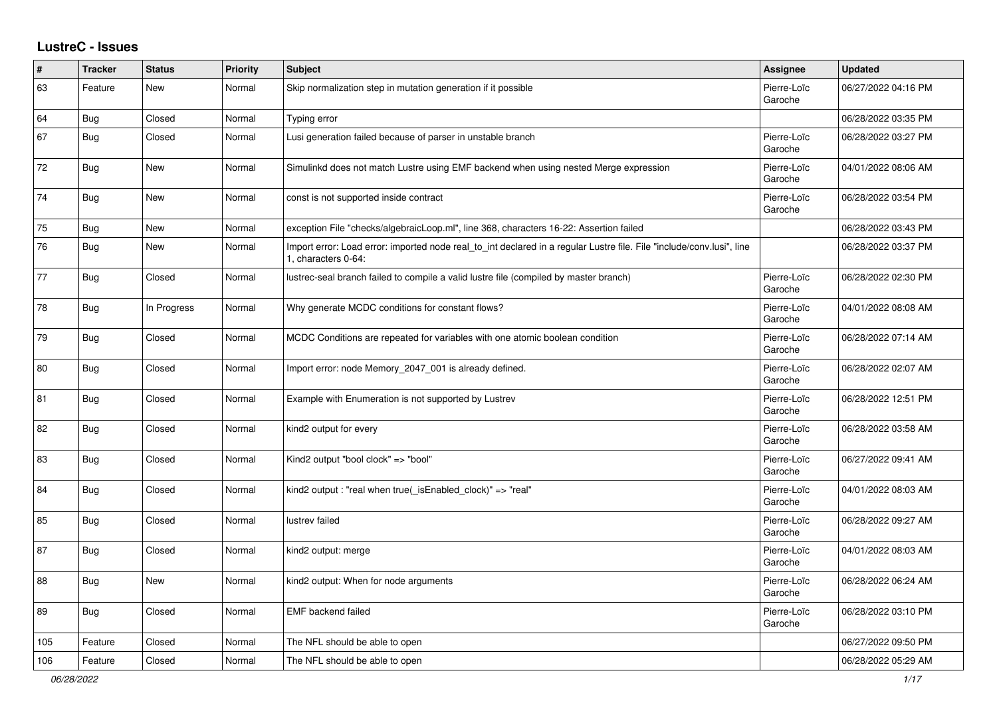## **LustreC - Issues**

| $\vert$ # | <b>Tracker</b> | <b>Status</b> | <b>Priority</b> | <b>Subject</b>                                                                                                                               | <b>Assignee</b>        | <b>Updated</b>      |
|-----------|----------------|---------------|-----------------|----------------------------------------------------------------------------------------------------------------------------------------------|------------------------|---------------------|
| 63        | Feature        | New           | Normal          | Skip normalization step in mutation generation if it possible                                                                                | Pierre-Loïc<br>Garoche | 06/27/2022 04:16 PM |
| 64        | Bug            | Closed        | Normal          | Typing error                                                                                                                                 |                        | 06/28/2022 03:35 PM |
| 67        | <b>Bug</b>     | Closed        | Normal          | Lusi generation failed because of parser in unstable branch                                                                                  | Pierre-Loïc<br>Garoche | 06/28/2022 03:27 PM |
| 72        | Bug            | <b>New</b>    | Normal          | Simulinkd does not match Lustre using EMF backend when using nested Merge expression                                                         | Pierre-Loïc<br>Garoche | 04/01/2022 08:06 AM |
| 74        | <b>Bug</b>     | New           | Normal          | const is not supported inside contract                                                                                                       | Pierre-Loïc<br>Garoche | 06/28/2022 03:54 PM |
| 75        | <b>Bug</b>     | <b>New</b>    | Normal          | exception File "checks/algebraicLoop.ml", line 368, characters 16-22: Assertion failed                                                       |                        | 06/28/2022 03:43 PM |
| 76        | <b>Bug</b>     | New           | Normal          | Import error: Load error: imported node real_to_int declared in a regular Lustre file. File "include/conv.lusi", line<br>1, characters 0-64: |                        | 06/28/2022 03:37 PM |
| 77        | Bug            | Closed        | Normal          | lustrec-seal branch failed to compile a valid lustre file (compiled by master branch)                                                        | Pierre-Loïc<br>Garoche | 06/28/2022 02:30 PM |
| 78        | <b>Bug</b>     | In Progress   | Normal          | Why generate MCDC conditions for constant flows?                                                                                             | Pierre-Loïc<br>Garoche | 04/01/2022 08:08 AM |
| 79        | Bug            | Closed        | Normal          | MCDC Conditions are repeated for variables with one atomic boolean condition                                                                 | Pierre-Loïc<br>Garoche | 06/28/2022 07:14 AM |
| 80        | <b>Bug</b>     | Closed        | Normal          | Import error: node Memory_2047_001 is already defined.                                                                                       | Pierre-Loïc<br>Garoche | 06/28/2022 02:07 AM |
| 81        | Bug            | Closed        | Normal          | Example with Enumeration is not supported by Lustrev                                                                                         | Pierre-Loïc<br>Garoche | 06/28/2022 12:51 PM |
| 82        | <b>Bug</b>     | Closed        | Normal          | kind2 output for every                                                                                                                       | Pierre-Loïc<br>Garoche | 06/28/2022 03:58 AM |
| 83        | <b>Bug</b>     | Closed        | Normal          | Kind2 output "bool clock" => "bool"                                                                                                          | Pierre-Loïc<br>Garoche | 06/27/2022 09:41 AM |
| 84        | Bug            | Closed        | Normal          | kind2 output: "real when true( is Enabled clock)" = > "real"                                                                                 | Pierre-Loïc<br>Garoche | 04/01/2022 08:03 AM |
| 85        | <b>Bug</b>     | Closed        | Normal          | lustrev failed                                                                                                                               | Pierre-Loïc<br>Garoche | 06/28/2022 09:27 AM |
| 87        | <b>Bug</b>     | Closed        | Normal          | kind2 output: merge                                                                                                                          | Pierre-Loïc<br>Garoche | 04/01/2022 08:03 AM |
| 88        | <b>Bug</b>     | <b>New</b>    | Normal          | kind2 output: When for node arguments                                                                                                        | Pierre-Loïc<br>Garoche | 06/28/2022 06:24 AM |
| 89        | Bug            | Closed        | Normal          | <b>EMF</b> backend failed                                                                                                                    | Pierre-Loïc<br>Garoche | 06/28/2022 03:10 PM |
| 105       | Feature        | Closed        | Normal          | The NFL should be able to open                                                                                                               |                        | 06/27/2022 09:50 PM |
| 106       | Feature        | Closed        | Normal          | The NFL should be able to open                                                                                                               |                        | 06/28/2022 05:29 AM |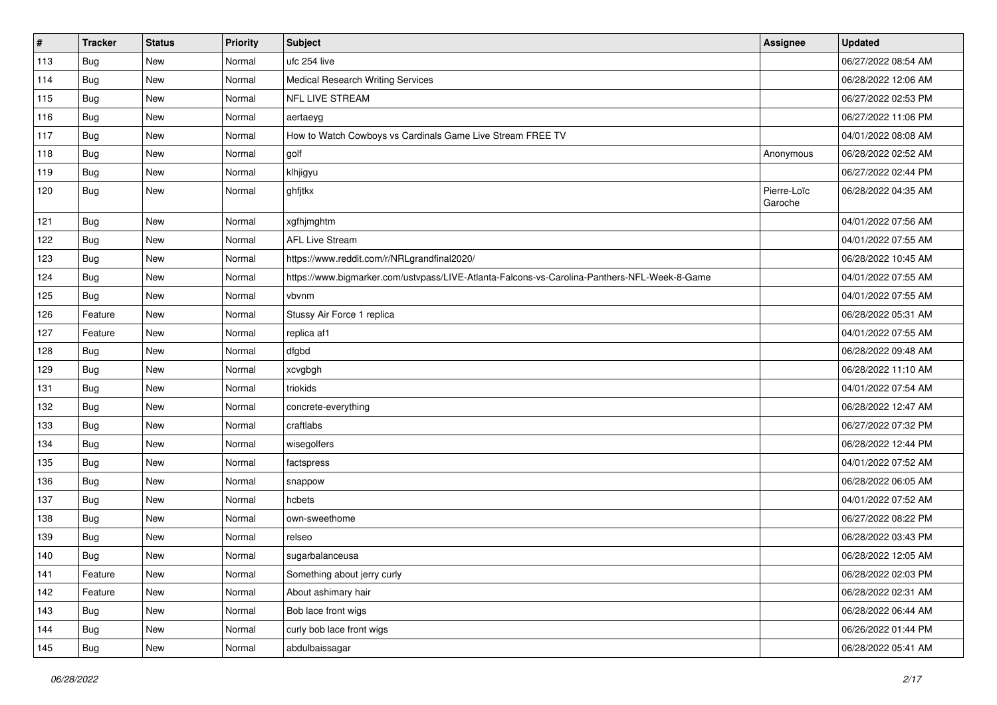| $\sharp$ | Tracker    | <b>Status</b> | <b>Priority</b> | <b>Subject</b>                                                                               | Assignee               | <b>Updated</b>      |
|----------|------------|---------------|-----------------|----------------------------------------------------------------------------------------------|------------------------|---------------------|
| 113      | <b>Bug</b> | New           | Normal          | ufc 254 live                                                                                 |                        | 06/27/2022 08:54 AM |
| 114      | <b>Bug</b> | New           | Normal          | <b>Medical Research Writing Services</b>                                                     |                        | 06/28/2022 12:06 AM |
| 115      | Bug        | New           | Normal          | NFL LIVE STREAM                                                                              |                        | 06/27/2022 02:53 PM |
| 116      | Bug        | <b>New</b>    | Normal          | aertaeyg                                                                                     |                        | 06/27/2022 11:06 PM |
| 117      | <b>Bug</b> | <b>New</b>    | Normal          | How to Watch Cowboys vs Cardinals Game Live Stream FREE TV                                   |                        | 04/01/2022 08:08 AM |
| 118      | Bug        | New           | Normal          | golf                                                                                         | Anonymous              | 06/28/2022 02:52 AM |
| 119      | Bug        | <b>New</b>    | Normal          | klhjigyu                                                                                     |                        | 06/27/2022 02:44 PM |
| 120      | Bug        | New           | Normal          | ghfjtkx                                                                                      | Pierre-Loïc<br>Garoche | 06/28/2022 04:35 AM |
| 121      | <b>Bug</b> | New           | Normal          | xgfhjmghtm                                                                                   |                        | 04/01/2022 07:56 AM |
| 122      | <b>Bug</b> | New           | Normal          | <b>AFL Live Stream</b>                                                                       |                        | 04/01/2022 07:55 AM |
| 123      | Bug        | <b>New</b>    | Normal          | https://www.reddit.com/r/NRLgrandfinal2020/                                                  |                        | 06/28/2022 10:45 AM |
| 124      | <b>Bug</b> | <b>New</b>    | Normal          | https://www.bigmarker.com/ustvpass/LIVE-Atlanta-Falcons-vs-Carolina-Panthers-NFL-Week-8-Game |                        | 04/01/2022 07:55 AM |
| 125      | Bug        | New           | Normal          | vbvnm                                                                                        |                        | 04/01/2022 07:55 AM |
| 126      | Feature    | <b>New</b>    | Normal          | Stussy Air Force 1 replica                                                                   |                        | 06/28/2022 05:31 AM |
| 127      | Feature    | New           | Normal          | replica af1                                                                                  |                        | 04/01/2022 07:55 AM |
| 128      | Bug        | <b>New</b>    | Normal          | dfgbd                                                                                        |                        | 06/28/2022 09:48 AM |
| 129      | <b>Bug</b> | <b>New</b>    | Normal          | xcvgbgh                                                                                      |                        | 06/28/2022 11:10 AM |
| 131      | Bug        | New           | Normal          | triokids                                                                                     |                        | 04/01/2022 07:54 AM |
| 132      | Bug        | <b>New</b>    | Normal          | concrete-everything                                                                          |                        | 06/28/2022 12:47 AM |
| 133      | Bug        | New           | Normal          | craftlabs                                                                                    |                        | 06/27/2022 07:32 PM |
| 134      | Bug        | <b>New</b>    | Normal          | wisegolfers                                                                                  |                        | 06/28/2022 12:44 PM |
| 135      | <b>Bug</b> | <b>New</b>    | Normal          | factspress                                                                                   |                        | 04/01/2022 07:52 AM |
| 136      | Bug        | New           | Normal          | snappow                                                                                      |                        | 06/28/2022 06:05 AM |
| 137      | Bug        | New           | Normal          | hcbets                                                                                       |                        | 04/01/2022 07:52 AM |
| 138      | Bug        | New           | Normal          | own-sweethome                                                                                |                        | 06/27/2022 08:22 PM |
| 139      | Bug        | New           | Normal          | relseo                                                                                       |                        | 06/28/2022 03:43 PM |
| 140      | <b>Bug</b> | New           | Normal          | sugarbalanceusa                                                                              |                        | 06/28/2022 12:05 AM |
| 141      | Feature    | New           | Normal          | Something about jerry curly                                                                  |                        | 06/28/2022 02:03 PM |
| 142      | Feature    | New           | Normal          | About ashimary hair                                                                          |                        | 06/28/2022 02:31 AM |
| 143      | Bug        | New           | Normal          | Bob lace front wigs                                                                          |                        | 06/28/2022 06:44 AM |
| 144      | <b>Bug</b> | New           | Normal          | curly bob lace front wigs                                                                    |                        | 06/26/2022 01:44 PM |
| 145      | <b>Bug</b> | New           | Normal          | abdulbaissagar                                                                               |                        | 06/28/2022 05:41 AM |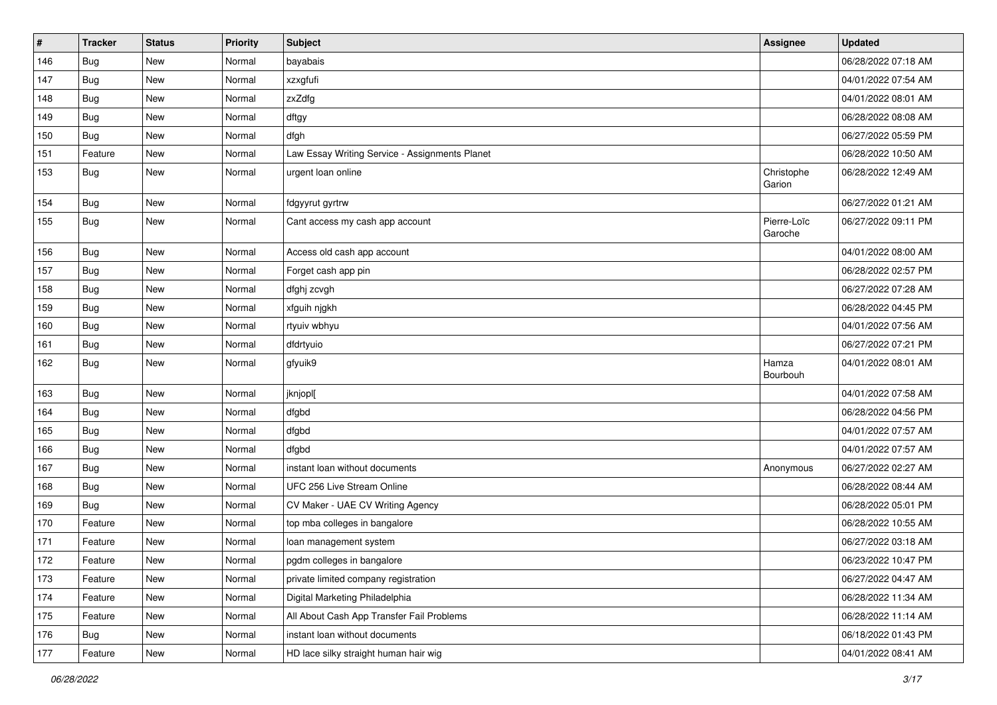| #   | <b>Tracker</b> | <b>Status</b> | <b>Priority</b> | <b>Subject</b>                                 | <b>Assignee</b>        | <b>Updated</b>      |
|-----|----------------|---------------|-----------------|------------------------------------------------|------------------------|---------------------|
| 146 | Bug            | New           | Normal          | bayabais                                       |                        | 06/28/2022 07:18 AM |
| 147 | <b>Bug</b>     | New           | Normal          | xzxgfufi                                       |                        | 04/01/2022 07:54 AM |
| 148 | <b>Bug</b>     | New           | Normal          | zxZdfg                                         |                        | 04/01/2022 08:01 AM |
| 149 | <b>Bug</b>     | New           | Normal          | dftgy                                          |                        | 06/28/2022 08:08 AM |
| 150 | Bug            | New           | Normal          | dfgh                                           |                        | 06/27/2022 05:59 PM |
| 151 | Feature        | New           | Normal          | Law Essay Writing Service - Assignments Planet |                        | 06/28/2022 10:50 AM |
| 153 | <b>Bug</b>     | New           | Normal          | urgent loan online                             | Christophe<br>Garion   | 06/28/2022 12:49 AM |
| 154 | <b>Bug</b>     | New           | Normal          | fdgyyrut gyrtrw                                |                        | 06/27/2022 01:21 AM |
| 155 | <b>Bug</b>     | New           | Normal          | Cant access my cash app account                | Pierre-Loïc<br>Garoche | 06/27/2022 09:11 PM |
| 156 | <b>Bug</b>     | New           | Normal          | Access old cash app account                    |                        | 04/01/2022 08:00 AM |
| 157 | <b>Bug</b>     | <b>New</b>    | Normal          | Forget cash app pin                            |                        | 06/28/2022 02:57 PM |
| 158 | Bug            | New           | Normal          | dfghj zcvgh                                    |                        | 06/27/2022 07:28 AM |
| 159 | <b>Bug</b>     | New           | Normal          | xfguih njgkh                                   |                        | 06/28/2022 04:45 PM |
| 160 | <b>Bug</b>     | New           | Normal          | rtyuiv wbhyu                                   |                        | 04/01/2022 07:56 AM |
| 161 | <b>Bug</b>     | New           | Normal          | dfdrtyuio                                      |                        | 06/27/2022 07:21 PM |
| 162 | Bug            | New           | Normal          | gfyuik9                                        | Hamza<br>Bourbouh      | 04/01/2022 08:01 AM |
| 163 | <b>Bug</b>     | New           | Normal          | jknjopl[                                       |                        | 04/01/2022 07:58 AM |
| 164 | Bug            | New           | Normal          | dfgbd                                          |                        | 06/28/2022 04:56 PM |
| 165 | Bug            | New           | Normal          | dfgbd                                          |                        | 04/01/2022 07:57 AM |
| 166 | <b>Bug</b>     | New           | Normal          | dfgbd                                          |                        | 04/01/2022 07:57 AM |
| 167 | <b>Bug</b>     | New           | Normal          | instant loan without documents                 | Anonymous              | 06/27/2022 02:27 AM |
| 168 | Bug            | New           | Normal          | UFC 256 Live Stream Online                     |                        | 06/28/2022 08:44 AM |
| 169 | <b>Bug</b>     | New           | Normal          | CV Maker - UAE CV Writing Agency               |                        | 06/28/2022 05:01 PM |
| 170 | Feature        | New           | Normal          | top mba colleges in bangalore                  |                        | 06/28/2022 10:55 AM |
| 171 | Feature        | New           | Normal          | loan management system                         |                        | 06/27/2022 03:18 AM |
| 172 | Feature        | New           | Normal          | pgdm colleges in bangalore                     |                        | 06/23/2022 10:47 PM |
| 173 | Feature        | New           | Normal          | private limited company registration           |                        | 06/27/2022 04:47 AM |
| 174 | Feature        | New           | Normal          | Digital Marketing Philadelphia                 |                        | 06/28/2022 11:34 AM |
| 175 | Feature        | New           | Normal          | All About Cash App Transfer Fail Problems      |                        | 06/28/2022 11:14 AM |
| 176 | Bug            | New           | Normal          | instant loan without documents                 |                        | 06/18/2022 01:43 PM |
| 177 | Feature        | New           | Normal          | HD lace silky straight human hair wig          |                        | 04/01/2022 08:41 AM |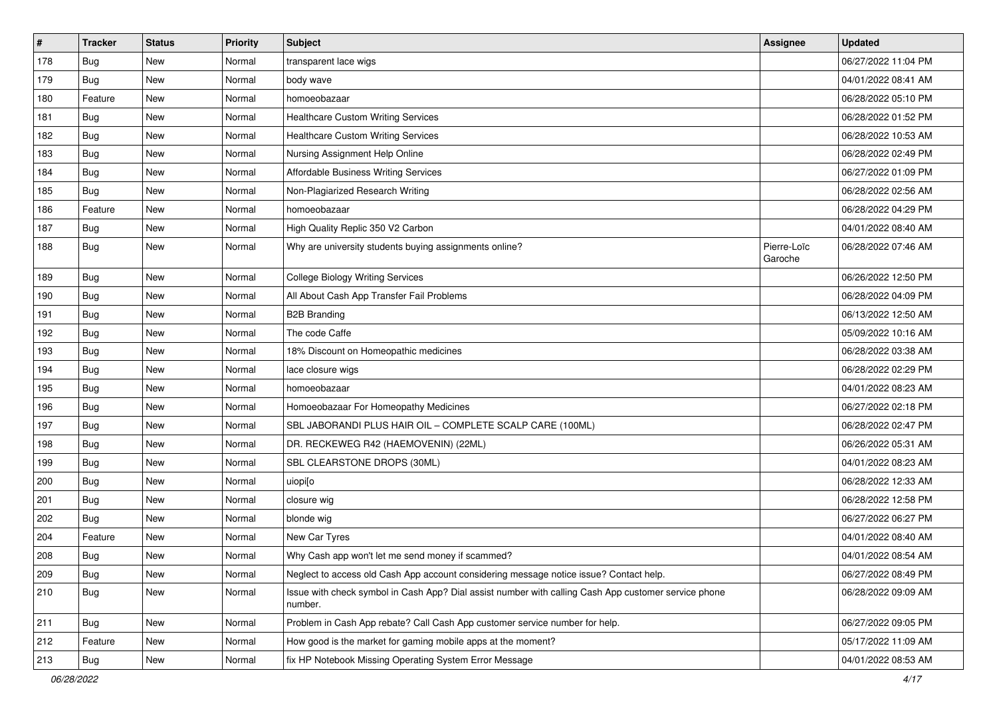| $\sharp$ | <b>Tracker</b> | <b>Status</b> | Priority | Subject                                                                                                         | Assignee               | <b>Updated</b>      |
|----------|----------------|---------------|----------|-----------------------------------------------------------------------------------------------------------------|------------------------|---------------------|
| 178      | <b>Bug</b>     | New           | Normal   | transparent lace wigs                                                                                           |                        | 06/27/2022 11:04 PM |
| 179      | Bug            | <b>New</b>    | Normal   | body wave                                                                                                       |                        | 04/01/2022 08:41 AM |
| 180      | Feature        | New           | Normal   | homoeobazaar                                                                                                    |                        | 06/28/2022 05:10 PM |
| 181      | <b>Bug</b>     | <b>New</b>    | Normal   | <b>Healthcare Custom Writing Services</b>                                                                       |                        | 06/28/2022 01:52 PM |
| 182      | Bug            | <b>New</b>    | Normal   | <b>Healthcare Custom Writing Services</b>                                                                       |                        | 06/28/2022 10:53 AM |
| 183      | <b>Bug</b>     | <b>New</b>    | Normal   | Nursing Assignment Help Online                                                                                  |                        | 06/28/2022 02:49 PM |
| 184      | Bug            | <b>New</b>    | Normal   | Affordable Business Writing Services                                                                            |                        | 06/27/2022 01:09 PM |
| 185      | Bug            | <b>New</b>    | Normal   | Non-Plagiarized Research Writing                                                                                |                        | 06/28/2022 02:56 AM |
| 186      | Feature        | <b>New</b>    | Normal   | homoeobazaar                                                                                                    |                        | 06/28/2022 04:29 PM |
| 187      | <b>Bug</b>     | <b>New</b>    | Normal   | High Quality Replic 350 V2 Carbon                                                                               |                        | 04/01/2022 08:40 AM |
| 188      | Bug            | <b>New</b>    | Normal   | Why are university students buying assignments online?                                                          | Pierre-Loïc<br>Garoche | 06/28/2022 07:46 AM |
| 189      | Bug            | <b>New</b>    | Normal   | <b>College Biology Writing Services</b>                                                                         |                        | 06/26/2022 12:50 PM |
| 190      | Bug            | New           | Normal   | All About Cash App Transfer Fail Problems                                                                       |                        | 06/28/2022 04:09 PM |
| 191      | <b>Bug</b>     | <b>New</b>    | Normal   | <b>B2B Branding</b>                                                                                             |                        | 06/13/2022 12:50 AM |
| 192      | Bug            | New           | Normal   | The code Caffe                                                                                                  |                        | 05/09/2022 10:16 AM |
| 193      | <b>Bug</b>     | <b>New</b>    | Normal   | 18% Discount on Homeopathic medicines                                                                           |                        | 06/28/2022 03:38 AM |
| 194      | Bug            | <b>New</b>    | Normal   | lace closure wigs                                                                                               |                        | 06/28/2022 02:29 PM |
| 195      | Bug            | <b>New</b>    | Normal   | homoeobazaar                                                                                                    |                        | 04/01/2022 08:23 AM |
| 196      | Bug            | <b>New</b>    | Normal   | Homoeobazaar For Homeopathy Medicines                                                                           |                        | 06/27/2022 02:18 PM |
| 197      | Bug            | <b>New</b>    | Normal   | SBL JABORANDI PLUS HAIR OIL - COMPLETE SCALP CARE (100ML)                                                       |                        | 06/28/2022 02:47 PM |
| 198      | Bug            | <b>New</b>    | Normal   | DR. RECKEWEG R42 (HAEMOVENIN) (22ML)                                                                            |                        | 06/26/2022 05:31 AM |
| 199      | <b>Bug</b>     | <b>New</b>    | Normal   | SBL CLEARSTONE DROPS (30ML)                                                                                     |                        | 04/01/2022 08:23 AM |
| 200      | Bug            | <b>New</b>    | Normal   | uiopi[o                                                                                                         |                        | 06/28/2022 12:33 AM |
| 201      | Bug            | <b>New</b>    | Normal   | closure wig                                                                                                     |                        | 06/28/2022 12:58 PM |
| 202      | <b>Bug</b>     | <b>New</b>    | Normal   | blonde wig                                                                                                      |                        | 06/27/2022 06:27 PM |
| 204      | Feature        | New           | Normal   | New Car Tyres                                                                                                   |                        | 04/01/2022 08:40 AM |
| 208      | <b>Bug</b>     | <b>New</b>    | Normal   | Why Cash app won't let me send money if scammed?                                                                |                        | 04/01/2022 08:54 AM |
| 209      | <b>Bug</b>     | New           | Normal   | Neglect to access old Cash App account considering message notice issue? Contact help.                          |                        | 06/27/2022 08:49 PM |
| 210      | <b>Bug</b>     | New           | Normal   | Issue with check symbol in Cash App? Dial assist number with calling Cash App customer service phone<br>number. |                        | 06/28/2022 09:09 AM |
| 211      | Bug            | New           | Normal   | Problem in Cash App rebate? Call Cash App customer service number for help.                                     |                        | 06/27/2022 09:05 PM |
| 212      | Feature        | New           | Normal   | How good is the market for gaming mobile apps at the moment?                                                    |                        | 05/17/2022 11:09 AM |
| 213      | Bug            | New           | Normal   | fix HP Notebook Missing Operating System Error Message                                                          |                        | 04/01/2022 08:53 AM |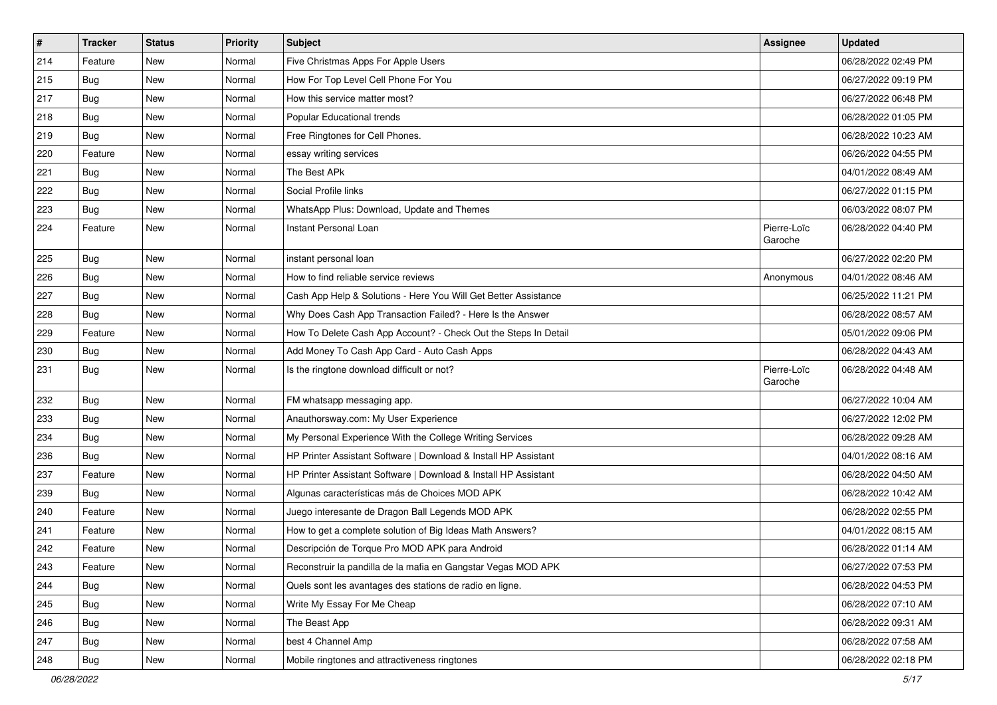| $\vert$ # | <b>Tracker</b> | <b>Status</b> | <b>Priority</b> | Subject                                                         | Assignee               | <b>Updated</b>      |
|-----------|----------------|---------------|-----------------|-----------------------------------------------------------------|------------------------|---------------------|
| 214       | Feature        | New           | Normal          | Five Christmas Apps For Apple Users                             |                        | 06/28/2022 02:49 PM |
| 215       | <b>Bug</b>     | <b>New</b>    | Normal          | How For Top Level Cell Phone For You                            |                        | 06/27/2022 09:19 PM |
| 217       | <b>Bug</b>     | New           | Normal          | How this service matter most?                                   |                        | 06/27/2022 06:48 PM |
| 218       | Bug            | <b>New</b>    | Normal          | Popular Educational trends                                      |                        | 06/28/2022 01:05 PM |
| 219       | Bug            | <b>New</b>    | Normal          | Free Ringtones for Cell Phones.                                 |                        | 06/28/2022 10:23 AM |
| 220       | Feature        | <b>New</b>    | Normal          | essay writing services                                          |                        | 06/26/2022 04:55 PM |
| 221       | <b>Bug</b>     | <b>New</b>    | Normal          | The Best APk                                                    |                        | 04/01/2022 08:49 AM |
| 222       | Bug            | <b>New</b>    | Normal          | Social Profile links                                            |                        | 06/27/2022 01:15 PM |
| 223       | <b>Bug</b>     | <b>New</b>    | Normal          | WhatsApp Plus: Download, Update and Themes                      |                        | 06/03/2022 08:07 PM |
| 224       | Feature        | <b>New</b>    | Normal          | Instant Personal Loan                                           | Pierre-Loïc<br>Garoche | 06/28/2022 04:40 PM |
| 225       | <b>Bug</b>     | <b>New</b>    | Normal          | instant personal loan                                           |                        | 06/27/2022 02:20 PM |
| 226       | <b>Bug</b>     | <b>New</b>    | Normal          | How to find reliable service reviews                            | Anonymous              | 04/01/2022 08:46 AM |
| 227       | <b>Bug</b>     | <b>New</b>    | Normal          | Cash App Help & Solutions - Here You Will Get Better Assistance |                        | 06/25/2022 11:21 PM |
| 228       | <b>Bug</b>     | <b>New</b>    | Normal          | Why Does Cash App Transaction Failed? - Here Is the Answer      |                        | 06/28/2022 08:57 AM |
| 229       | Feature        | New           | Normal          | How To Delete Cash App Account? - Check Out the Steps In Detail |                        | 05/01/2022 09:06 PM |
| 230       | Bug            | <b>New</b>    | Normal          | Add Money To Cash App Card - Auto Cash Apps                     |                        | 06/28/2022 04:43 AM |
| 231       | Bug            | <b>New</b>    | Normal          | Is the ringtone download difficult or not?                      | Pierre-Loïc<br>Garoche | 06/28/2022 04:48 AM |
| 232       | <b>Bug</b>     | <b>New</b>    | Normal          | FM whatsapp messaging app.                                      |                        | 06/27/2022 10:04 AM |
| 233       | <b>Bug</b>     | <b>New</b>    | Normal          | Anauthorsway.com: My User Experience                            |                        | 06/27/2022 12:02 PM |
| 234       | Bug            | <b>New</b>    | Normal          | My Personal Experience With the College Writing Services        |                        | 06/28/2022 09:28 AM |
| 236       | Bug            | <b>New</b>    | Normal          | HP Printer Assistant Software   Download & Install HP Assistant |                        | 04/01/2022 08:16 AM |
| 237       | Feature        | New           | Normal          | HP Printer Assistant Software   Download & Install HP Assistant |                        | 06/28/2022 04:50 AM |
| 239       | Bug            | <b>New</b>    | Normal          | Algunas características más de Choices MOD APK                  |                        | 06/28/2022 10:42 AM |
| 240       | Feature        | <b>New</b>    | Normal          | Juego interesante de Dragon Ball Legends MOD APK                |                        | 06/28/2022 02:55 PM |
| 241       | Feature        | New           | Normal          | How to get a complete solution of Big Ideas Math Answers?       |                        | 04/01/2022 08:15 AM |
| 242       | Feature        | New           | Normal          | Descripción de Torque Pro MOD APK para Android                  |                        | 06/28/2022 01:14 AM |
| 243       | Feature        | New           | Normal          | Reconstruir la pandilla de la mafia en Gangstar Vegas MOD APK   |                        | 06/27/2022 07:53 PM |
| 244       | <b>Bug</b>     | <b>New</b>    | Normal          | Quels sont les avantages des stations de radio en ligne.        |                        | 06/28/2022 04:53 PM |
| 245       | Bug            | New           | Normal          | Write My Essay For Me Cheap                                     |                        | 06/28/2022 07:10 AM |
| 246       | <b>Bug</b>     | New           | Normal          | The Beast App                                                   |                        | 06/28/2022 09:31 AM |
| 247       | <b>Bug</b>     | New           | Normal          | best 4 Channel Amp                                              |                        | 06/28/2022 07:58 AM |
| 248       | <b>Bug</b>     | New           | Normal          | Mobile ringtones and attractiveness ringtones                   |                        | 06/28/2022 02:18 PM |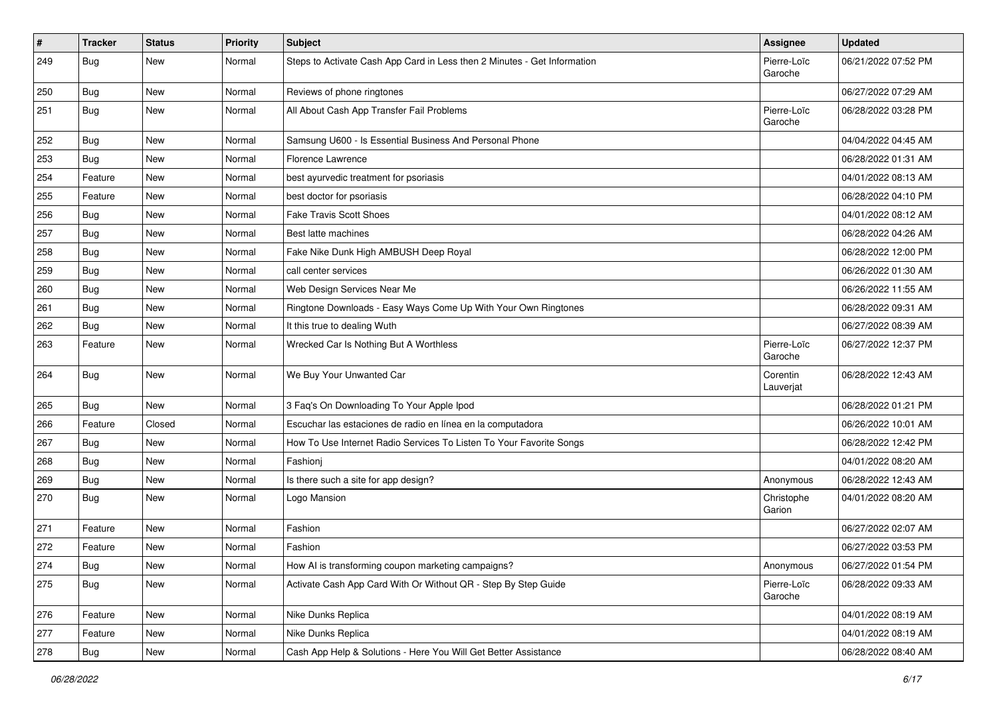| $\vert$ # | <b>Tracker</b> | <b>Status</b> | <b>Priority</b> | <b>Subject</b>                                                           | Assignee               | <b>Updated</b>      |
|-----------|----------------|---------------|-----------------|--------------------------------------------------------------------------|------------------------|---------------------|
| 249       | Bug            | New           | Normal          | Steps to Activate Cash App Card in Less then 2 Minutes - Get Information | Pierre-Loïc<br>Garoche | 06/21/2022 07:52 PM |
| 250       | Bug            | New           | Normal          | Reviews of phone ringtones                                               |                        | 06/27/2022 07:29 AM |
| 251       | Bug            | <b>New</b>    | Normal          | All About Cash App Transfer Fail Problems                                | Pierre-Loïc<br>Garoche | 06/28/2022 03:28 PM |
| 252       | <b>Bug</b>     | <b>New</b>    | Normal          | Samsung U600 - Is Essential Business And Personal Phone                  |                        | 04/04/2022 04:45 AM |
| 253       | <b>Bug</b>     | New           | Normal          | Florence Lawrence                                                        |                        | 06/28/2022 01:31 AM |
| 254       | Feature        | <b>New</b>    | Normal          | best ayurvedic treatment for psoriasis                                   |                        | 04/01/2022 08:13 AM |
| 255       | Feature        | New           | Normal          | best doctor for psoriasis                                                |                        | 06/28/2022 04:10 PM |
| 256       | <b>Bug</b>     | <b>New</b>    | Normal          | <b>Fake Travis Scott Shoes</b>                                           |                        | 04/01/2022 08:12 AM |
| 257       | Bug            | New           | Normal          | Best latte machines                                                      |                        | 06/28/2022 04:26 AM |
| 258       | Bug            | <b>New</b>    | Normal          | Fake Nike Dunk High AMBUSH Deep Royal                                    |                        | 06/28/2022 12:00 PM |
| 259       | <b>Bug</b>     | <b>New</b>    | Normal          | call center services                                                     |                        | 06/26/2022 01:30 AM |
| 260       | <b>Bug</b>     | New           | Normal          | Web Design Services Near Me                                              |                        | 06/26/2022 11:55 AM |
| 261       | Bug            | <b>New</b>    | Normal          | Ringtone Downloads - Easy Ways Come Up With Your Own Ringtones           |                        | 06/28/2022 09:31 AM |
| 262       | Bug            | New           | Normal          | It this true to dealing Wuth                                             |                        | 06/27/2022 08:39 AM |
| 263       | Feature        | <b>New</b>    | Normal          | Wrecked Car Is Nothing But A Worthless                                   | Pierre-Loïc<br>Garoche | 06/27/2022 12:37 PM |
| 264       | <b>Bug</b>     | <b>New</b>    | Normal          | We Buy Your Unwanted Car                                                 | Corentin<br>Lauverjat  | 06/28/2022 12:43 AM |
| 265       | <b>Bug</b>     | <b>New</b>    | Normal          | 3 Faq's On Downloading To Your Apple Ipod                                |                        | 06/28/2022 01:21 PM |
| 266       | Feature        | Closed        | Normal          | Escuchar las estaciones de radio en línea en la computadora              |                        | 06/26/2022 10:01 AM |
| 267       | <b>Bug</b>     | <b>New</b>    | Normal          | How To Use Internet Radio Services To Listen To Your Favorite Songs      |                        | 06/28/2022 12:42 PM |
| 268       | Bug            | New           | Normal          | Fashioni                                                                 |                        | 04/01/2022 08:20 AM |
| 269       | Bug            | <b>New</b>    | Normal          | Is there such a site for app design?                                     | Anonymous              | 06/28/2022 12:43 AM |
| 270       | <b>Bug</b>     | New           | Normal          | Logo Mansion                                                             | Christophe<br>Garion   | 04/01/2022 08:20 AM |
| 271       | Feature        | <b>New</b>    | Normal          | Fashion                                                                  |                        | 06/27/2022 02:07 AM |
| 272       | Feature        | New           | Normal          | Fashion                                                                  |                        | 06/27/2022 03:53 PM |
| 274       | Bug            | New           | Normal          | How AI is transforming coupon marketing campaigns?                       | Anonymous              | 06/27/2022 01:54 PM |
| 275       | Bug            | New           | Normal          | Activate Cash App Card With Or Without QR - Step By Step Guide           | Pierre-Loïc<br>Garoche | 06/28/2022 09:33 AM |
| 276       | Feature        | New           | Normal          | Nike Dunks Replica                                                       |                        | 04/01/2022 08:19 AM |
| 277       | Feature        | New           | Normal          | Nike Dunks Replica                                                       |                        | 04/01/2022 08:19 AM |
| 278       | <b>Bug</b>     | New           | Normal          | Cash App Help & Solutions - Here You Will Get Better Assistance          |                        | 06/28/2022 08:40 AM |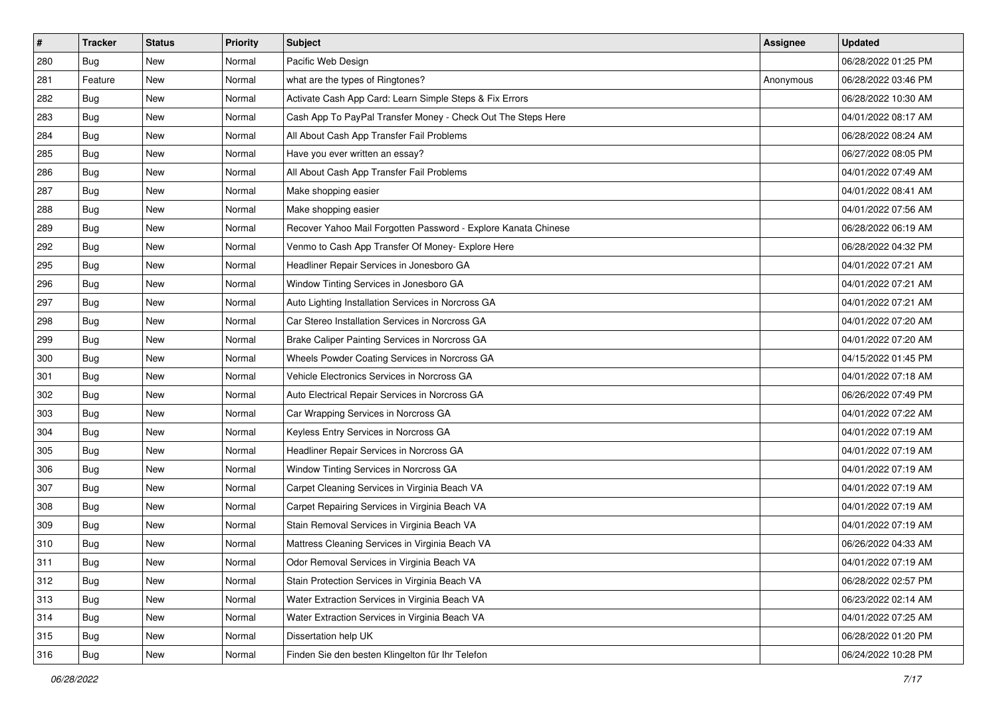| #   | <b>Tracker</b> | <b>Status</b> | <b>Priority</b> | <b>Subject</b>                                                 | <b>Assignee</b> | <b>Updated</b>      |
|-----|----------------|---------------|-----------------|----------------------------------------------------------------|-----------------|---------------------|
| 280 | Bug            | New           | Normal          | Pacific Web Design                                             |                 | 06/28/2022 01:25 PM |
| 281 | Feature        | New           | Normal          | what are the types of Ringtones?                               | Anonymous       | 06/28/2022 03:46 PM |
| 282 | Bug            | New           | Normal          | Activate Cash App Card: Learn Simple Steps & Fix Errors        |                 | 06/28/2022 10:30 AM |
| 283 | <b>Bug</b>     | <b>New</b>    | Normal          | Cash App To PayPal Transfer Money - Check Out The Steps Here   |                 | 04/01/2022 08:17 AM |
| 284 | <b>Bug</b>     | New           | Normal          | All About Cash App Transfer Fail Problems                      |                 | 06/28/2022 08:24 AM |
| 285 | Bug            | New           | Normal          | Have you ever written an essay?                                |                 | 06/27/2022 08:05 PM |
| 286 | <b>Bug</b>     | New           | Normal          | All About Cash App Transfer Fail Problems                      |                 | 04/01/2022 07:49 AM |
| 287 | Bug            | <b>New</b>    | Normal          | Make shopping easier                                           |                 | 04/01/2022 08:41 AM |
| 288 | Bug            | <b>New</b>    | Normal          | Make shopping easier                                           |                 | 04/01/2022 07:56 AM |
| 289 | <b>Bug</b>     | New           | Normal          | Recover Yahoo Mail Forgotten Password - Explore Kanata Chinese |                 | 06/28/2022 06:19 AM |
| 292 | Bug            | New           | Normal          | Venmo to Cash App Transfer Of Money- Explore Here              |                 | 06/28/2022 04:32 PM |
| 295 | Bug            | New           | Normal          | Headliner Repair Services in Jonesboro GA                      |                 | 04/01/2022 07:21 AM |
| 296 | <b>Bug</b>     | <b>New</b>    | Normal          | Window Tinting Services in Jonesboro GA                        |                 | 04/01/2022 07:21 AM |
| 297 | Bug            | New           | Normal          | Auto Lighting Installation Services in Norcross GA             |                 | 04/01/2022 07:21 AM |
| 298 | <b>Bug</b>     | New           | Normal          | Car Stereo Installation Services in Norcross GA                |                 | 04/01/2022 07:20 AM |
| 299 | Bug            | New           | Normal          | Brake Caliper Painting Services in Norcross GA                 |                 | 04/01/2022 07:20 AM |
| 300 | Bug            | <b>New</b>    | Normal          | Wheels Powder Coating Services in Norcross GA                  |                 | 04/15/2022 01:45 PM |
| 301 | <b>Bug</b>     | <b>New</b>    | Normal          | Vehicle Electronics Services in Norcross GA                    |                 | 04/01/2022 07:18 AM |
| 302 | <b>Bug</b>     | New           | Normal          | Auto Electrical Repair Services in Norcross GA                 |                 | 06/26/2022 07:49 PM |
| 303 | <b>Bug</b>     | New           | Normal          | Car Wrapping Services in Norcross GA                           |                 | 04/01/2022 07:22 AM |
| 304 | Bug            | New           | Normal          | Keyless Entry Services in Norcross GA                          |                 | 04/01/2022 07:19 AM |
| 305 | Bug            | <b>New</b>    | Normal          | Headliner Repair Services in Norcross GA                       |                 | 04/01/2022 07:19 AM |
| 306 | <b>Bug</b>     | New           | Normal          | Window Tinting Services in Norcross GA                         |                 | 04/01/2022 07:19 AM |
| 307 | <b>Bug</b>     | New           | Normal          | Carpet Cleaning Services in Virginia Beach VA                  |                 | 04/01/2022 07:19 AM |
| 308 | Bug            | New           | Normal          | Carpet Repairing Services in Virginia Beach VA                 |                 | 04/01/2022 07:19 AM |
| 309 | <b>Bug</b>     | <b>New</b>    | Normal          | Stain Removal Services in Virginia Beach VA                    |                 | 04/01/2022 07:19 AM |
| 310 | Bug            | New           | Normal          | Mattress Cleaning Services in Virginia Beach VA                |                 | 06/26/2022 04:33 AM |
| 311 | <b>Bug</b>     | New           | Normal          | Odor Removal Services in Virginia Beach VA                     |                 | 04/01/2022 07:19 AM |
| 312 | Bug            | New           | Normal          | Stain Protection Services in Virginia Beach VA                 |                 | 06/28/2022 02:57 PM |
| 313 | <b>Bug</b>     | New           | Normal          | Water Extraction Services in Virginia Beach VA                 |                 | 06/23/2022 02:14 AM |
| 314 | <b>Bug</b>     | New           | Normal          | Water Extraction Services in Virginia Beach VA                 |                 | 04/01/2022 07:25 AM |
| 315 | <b>Bug</b>     | New           | Normal          | Dissertation help UK                                           |                 | 06/28/2022 01:20 PM |
| 316 | <b>Bug</b>     | New           | Normal          | Finden Sie den besten Klingelton für Ihr Telefon               |                 | 06/24/2022 10:28 PM |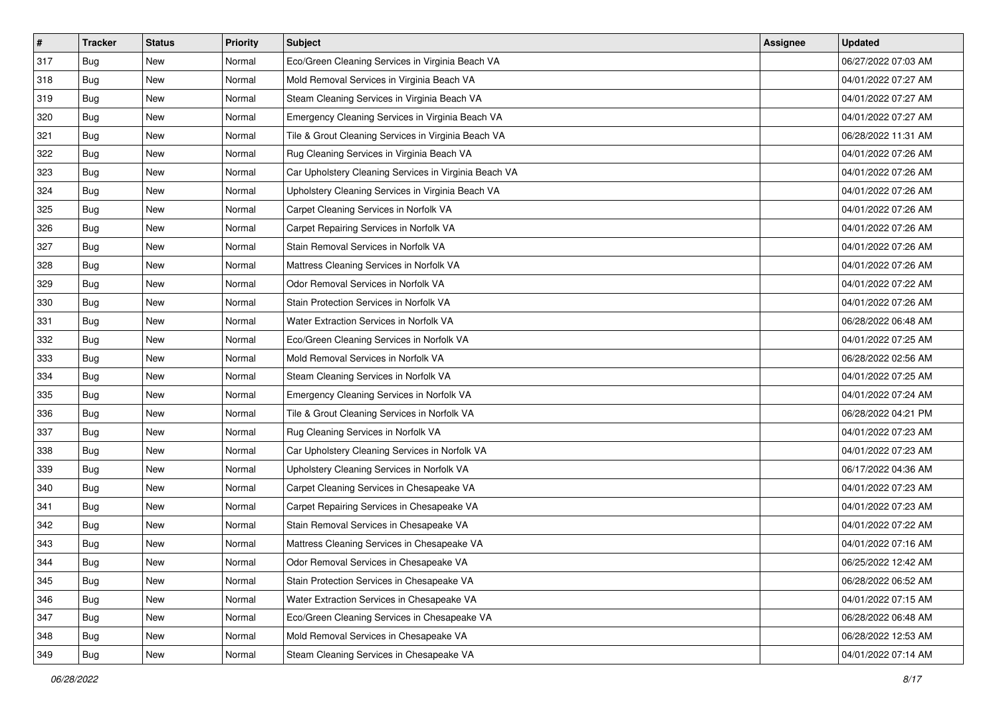| $\pmb{\#}$ | <b>Tracker</b> | <b>Status</b> | <b>Priority</b> | Subject                                               | <b>Assignee</b> | <b>Updated</b>      |
|------------|----------------|---------------|-----------------|-------------------------------------------------------|-----------------|---------------------|
| 317        | <b>Bug</b>     | New           | Normal          | Eco/Green Cleaning Services in Virginia Beach VA      |                 | 06/27/2022 07:03 AM |
| 318        | <b>Bug</b>     | <b>New</b>    | Normal          | Mold Removal Services in Virginia Beach VA            |                 | 04/01/2022 07:27 AM |
| 319        | Bug            | New           | Normal          | Steam Cleaning Services in Virginia Beach VA          |                 | 04/01/2022 07:27 AM |
| 320        | <b>Bug</b>     | <b>New</b>    | Normal          | Emergency Cleaning Services in Virginia Beach VA      |                 | 04/01/2022 07:27 AM |
| 321        | <b>Bug</b>     | New           | Normal          | Tile & Grout Cleaning Services in Virginia Beach VA   |                 | 06/28/2022 11:31 AM |
| 322        | <b>Bug</b>     | New           | Normal          | Rug Cleaning Services in Virginia Beach VA            |                 | 04/01/2022 07:26 AM |
| 323        | <b>Bug</b>     | New           | Normal          | Car Upholstery Cleaning Services in Virginia Beach VA |                 | 04/01/2022 07:26 AM |
| 324        | Bug            | New           | Normal          | Upholstery Cleaning Services in Virginia Beach VA     |                 | 04/01/2022 07:26 AM |
| 325        | <b>Bug</b>     | <b>New</b>    | Normal          | Carpet Cleaning Services in Norfolk VA                |                 | 04/01/2022 07:26 AM |
| 326        | <b>Bug</b>     | <b>New</b>    | Normal          | Carpet Repairing Services in Norfolk VA               |                 | 04/01/2022 07:26 AM |
| 327        | <b>Bug</b>     | New           | Normal          | Stain Removal Services in Norfolk VA                  |                 | 04/01/2022 07:26 AM |
| 328        | <b>Bug</b>     | New           | Normal          | Mattress Cleaning Services in Norfolk VA              |                 | 04/01/2022 07:26 AM |
| 329        | Bug            | <b>New</b>    | Normal          | Odor Removal Services in Norfolk VA                   |                 | 04/01/2022 07:22 AM |
| 330        | <b>Bug</b>     | <b>New</b>    | Normal          | Stain Protection Services in Norfolk VA               |                 | 04/01/2022 07:26 AM |
| 331        | <b>Bug</b>     | <b>New</b>    | Normal          | Water Extraction Services in Norfolk VA               |                 | 06/28/2022 06:48 AM |
| 332        | <b>Bug</b>     | New           | Normal          | Eco/Green Cleaning Services in Norfolk VA             |                 | 04/01/2022 07:25 AM |
| 333        | <b>Bug</b>     | <b>New</b>    | Normal          | Mold Removal Services in Norfolk VA                   |                 | 06/28/2022 02:56 AM |
| 334        | <b>Bug</b>     | New           | Normal          | Steam Cleaning Services in Norfolk VA                 |                 | 04/01/2022 07:25 AM |
| 335        | <b>Bug</b>     | New           | Normal          | Emergency Cleaning Services in Norfolk VA             |                 | 04/01/2022 07:24 AM |
| 336        | <b>Bug</b>     | <b>New</b>    | Normal          | Tile & Grout Cleaning Services in Norfolk VA          |                 | 06/28/2022 04:21 PM |
| 337        | <b>Bug</b>     | New           | Normal          | Rug Cleaning Services in Norfolk VA                   |                 | 04/01/2022 07:23 AM |
| 338        | <b>Bug</b>     | <b>New</b>    | Normal          | Car Upholstery Cleaning Services in Norfolk VA        |                 | 04/01/2022 07:23 AM |
| 339        | <b>Bug</b>     | New           | Normal          | Upholstery Cleaning Services in Norfolk VA            |                 | 06/17/2022 04:36 AM |
| 340        | <b>Bug</b>     | New           | Normal          | Carpet Cleaning Services in Chesapeake VA             |                 | 04/01/2022 07:23 AM |
| 341        | <b>Bug</b>     | New           | Normal          | Carpet Repairing Services in Chesapeake VA            |                 | 04/01/2022 07:23 AM |
| 342        | <b>Bug</b>     | <b>New</b>    | Normal          | Stain Removal Services in Chesapeake VA               |                 | 04/01/2022 07:22 AM |
| 343        | <b>Bug</b>     | New           | Normal          | Mattress Cleaning Services in Chesapeake VA           |                 | 04/01/2022 07:16 AM |
| 344        | Bug            | New           | Normal          | Odor Removal Services in Chesapeake VA                |                 | 06/25/2022 12:42 AM |
| 345        | <b>Bug</b>     | New           | Normal          | Stain Protection Services in Chesapeake VA            |                 | 06/28/2022 06:52 AM |
| 346        | Bug            | New           | Normal          | Water Extraction Services in Chesapeake VA            |                 | 04/01/2022 07:15 AM |
| 347        | <b>Bug</b>     | New           | Normal          | Eco/Green Cleaning Services in Chesapeake VA          |                 | 06/28/2022 06:48 AM |
| 348        | <b>Bug</b>     | New           | Normal          | Mold Removal Services in Chesapeake VA                |                 | 06/28/2022 12:53 AM |
| 349        | <b>Bug</b>     | New           | Normal          | Steam Cleaning Services in Chesapeake VA              |                 | 04/01/2022 07:14 AM |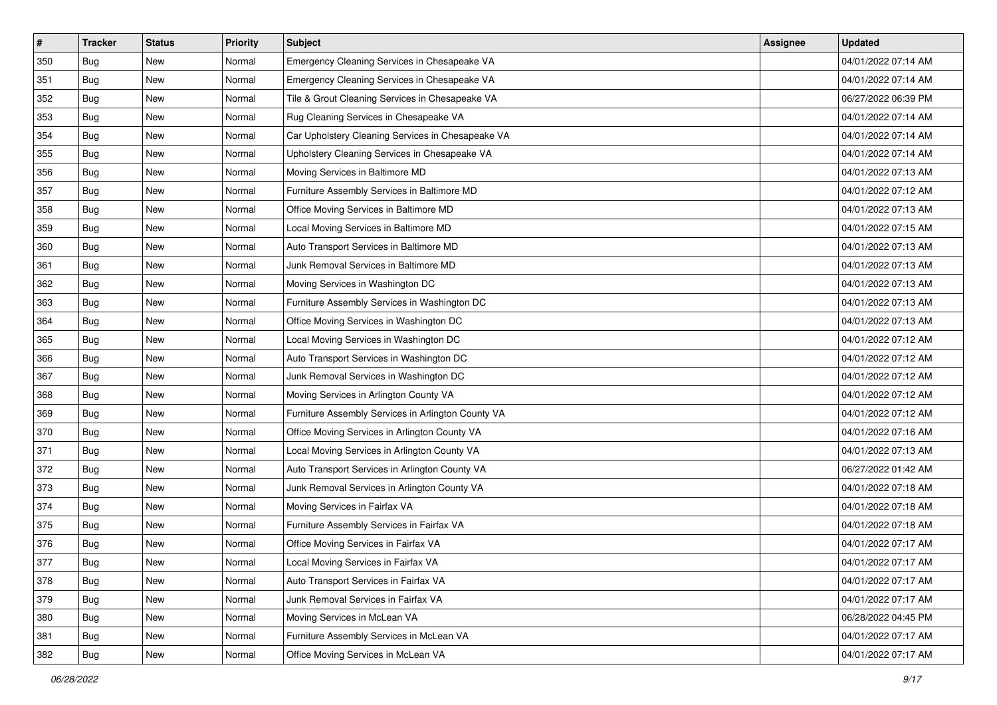| #   | <b>Tracker</b> | <b>Status</b> | <b>Priority</b> | Subject                                            | Assignee | <b>Updated</b>      |
|-----|----------------|---------------|-----------------|----------------------------------------------------|----------|---------------------|
| 350 | <b>Bug</b>     | New           | Normal          | Emergency Cleaning Services in Chesapeake VA       |          | 04/01/2022 07:14 AM |
| 351 | <b>Bug</b>     | New           | Normal          | Emergency Cleaning Services in Chesapeake VA       |          | 04/01/2022 07:14 AM |
| 352 | Bug            | New           | Normal          | Tile & Grout Cleaning Services in Chesapeake VA    |          | 06/27/2022 06:39 PM |
| 353 | Bug            | <b>New</b>    | Normal          | Rug Cleaning Services in Chesapeake VA             |          | 04/01/2022 07:14 AM |
| 354 | <b>Bug</b>     | New           | Normal          | Car Upholstery Cleaning Services in Chesapeake VA  |          | 04/01/2022 07:14 AM |
| 355 | <b>Bug</b>     | New           | Normal          | Upholstery Cleaning Services in Chesapeake VA      |          | 04/01/2022 07:14 AM |
| 356 | Bug            | New           | Normal          | Moving Services in Baltimore MD                    |          | 04/01/2022 07:13 AM |
| 357 | Bug            | New           | Normal          | Furniture Assembly Services in Baltimore MD        |          | 04/01/2022 07:12 AM |
| 358 | Bug            | New           | Normal          | Office Moving Services in Baltimore MD             |          | 04/01/2022 07:13 AM |
| 359 | Bug            | New           | Normal          | Local Moving Services in Baltimore MD              |          | 04/01/2022 07:15 AM |
| 360 | Bug            | New           | Normal          | Auto Transport Services in Baltimore MD            |          | 04/01/2022 07:13 AM |
| 361 | Bug            | New           | Normal          | Junk Removal Services in Baltimore MD              |          | 04/01/2022 07:13 AM |
| 362 | Bug            | New           | Normal          | Moving Services in Washington DC                   |          | 04/01/2022 07:13 AM |
| 363 | Bug            | New           | Normal          | Furniture Assembly Services in Washington DC       |          | 04/01/2022 07:13 AM |
| 364 | <b>Bug</b>     | New           | Normal          | Office Moving Services in Washington DC            |          | 04/01/2022 07:13 AM |
| 365 | Bug            | New           | Normal          | Local Moving Services in Washington DC             |          | 04/01/2022 07:12 AM |
| 366 | Bug            | <b>New</b>    | Normal          | Auto Transport Services in Washington DC           |          | 04/01/2022 07:12 AM |
| 367 | <b>Bug</b>     | <b>New</b>    | Normal          | Junk Removal Services in Washington DC             |          | 04/01/2022 07:12 AM |
| 368 | Bug            | New           | Normal          | Moving Services in Arlington County VA             |          | 04/01/2022 07:12 AM |
| 369 | <b>Bug</b>     | New           | Normal          | Furniture Assembly Services in Arlington County VA |          | 04/01/2022 07:12 AM |
| 370 | Bug            | New           | Normal          | Office Moving Services in Arlington County VA      |          | 04/01/2022 07:16 AM |
| 371 | <b>Bug</b>     | New           | Normal          | Local Moving Services in Arlington County VA       |          | 04/01/2022 07:13 AM |
| 372 | <b>Bug</b>     | New           | Normal          | Auto Transport Services in Arlington County VA     |          | 06/27/2022 01:42 AM |
| 373 | Bug            | New           | Normal          | Junk Removal Services in Arlington County VA       |          | 04/01/2022 07:18 AM |
| 374 | <b>Bug</b>     | New           | Normal          | Moving Services in Fairfax VA                      |          | 04/01/2022 07:18 AM |
| 375 | Bug            | New           | Normal          | Furniture Assembly Services in Fairfax VA          |          | 04/01/2022 07:18 AM |
| 376 | <b>Bug</b>     | <b>New</b>    | Normal          | Office Moving Services in Fairfax VA               |          | 04/01/2022 07:17 AM |
| 377 | <b>Bug</b>     | New           | Normal          | Local Moving Services in Fairfax VA                |          | 04/01/2022 07:17 AM |
| 378 | Bug            | New           | Normal          | Auto Transport Services in Fairfax VA              |          | 04/01/2022 07:17 AM |
| 379 | Bug            | New           | Normal          | Junk Removal Services in Fairfax VA                |          | 04/01/2022 07:17 AM |
| 380 | <b>Bug</b>     | New           | Normal          | Moving Services in McLean VA                       |          | 06/28/2022 04:45 PM |
| 381 | <b>Bug</b>     | New           | Normal          | Furniture Assembly Services in McLean VA           |          | 04/01/2022 07:17 AM |
| 382 | <b>Bug</b>     | New           | Normal          | Office Moving Services in McLean VA                |          | 04/01/2022 07:17 AM |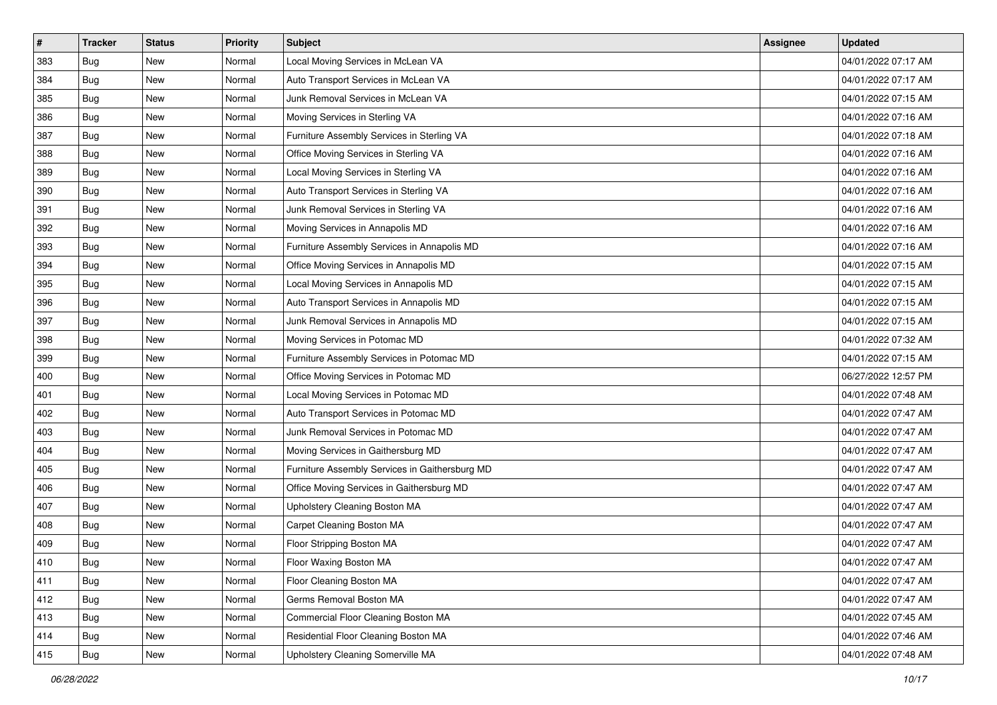| #   | <b>Tracker</b> | <b>Status</b> | <b>Priority</b> | <b>Subject</b>                                 | <b>Assignee</b> | <b>Updated</b>      |
|-----|----------------|---------------|-----------------|------------------------------------------------|-----------------|---------------------|
| 383 | Bug            | New           | Normal          | Local Moving Services in McLean VA             |                 | 04/01/2022 07:17 AM |
| 384 | <b>Bug</b>     | <b>New</b>    | Normal          | Auto Transport Services in McLean VA           |                 | 04/01/2022 07:17 AM |
| 385 | <b>Bug</b>     | New           | Normal          | Junk Removal Services in McLean VA             |                 | 04/01/2022 07:15 AM |
| 386 | Bug            | <b>New</b>    | Normal          | Moving Services in Sterling VA                 |                 | 04/01/2022 07:16 AM |
| 387 | <b>Bug</b>     | New           | Normal          | Furniture Assembly Services in Sterling VA     |                 | 04/01/2022 07:18 AM |
| 388 | Bug            | New           | Normal          | Office Moving Services in Sterling VA          |                 | 04/01/2022 07:16 AM |
| 389 | <b>Bug</b>     | New           | Normal          | Local Moving Services in Sterling VA           |                 | 04/01/2022 07:16 AM |
| 390 | <b>Bug</b>     | New           | Normal          | Auto Transport Services in Sterling VA         |                 | 04/01/2022 07:16 AM |
| 391 | i Bug          | New           | Normal          | Junk Removal Services in Sterling VA           |                 | 04/01/2022 07:16 AM |
| 392 | <b>Bug</b>     | New           | Normal          | Moving Services in Annapolis MD                |                 | 04/01/2022 07:16 AM |
| 393 | <b>Bug</b>     | New           | Normal          | Furniture Assembly Services in Annapolis MD    |                 | 04/01/2022 07:16 AM |
| 394 | <b>Bug</b>     | New           | Normal          | Office Moving Services in Annapolis MD         |                 | 04/01/2022 07:15 AM |
| 395 | <b>Bug</b>     | New           | Normal          | Local Moving Services in Annapolis MD          |                 | 04/01/2022 07:15 AM |
| 396 | <b>Bug</b>     | New           | Normal          | Auto Transport Services in Annapolis MD        |                 | 04/01/2022 07:15 AM |
| 397 | <b>Bug</b>     | New           | Normal          | Junk Removal Services in Annapolis MD          |                 | 04/01/2022 07:15 AM |
| 398 | <b>Bug</b>     | New           | Normal          | Moving Services in Potomac MD                  |                 | 04/01/2022 07:32 AM |
| 399 | Bug            | New           | Normal          | Furniture Assembly Services in Potomac MD      |                 | 04/01/2022 07:15 AM |
| 400 | <b>Bug</b>     | New           | Normal          | Office Moving Services in Potomac MD           |                 | 06/27/2022 12:57 PM |
| 401 | <b>Bug</b>     | New           | Normal          | Local Moving Services in Potomac MD            |                 | 04/01/2022 07:48 AM |
| 402 | <b>Bug</b>     | <b>New</b>    | Normal          | Auto Transport Services in Potomac MD          |                 | 04/01/2022 07:47 AM |
| 403 | Bug            | New           | Normal          | Junk Removal Services in Potomac MD            |                 | 04/01/2022 07:47 AM |
| 404 | Bug            | New           | Normal          | Moving Services in Gaithersburg MD             |                 | 04/01/2022 07:47 AM |
| 405 | <b>Bug</b>     | New           | Normal          | Furniture Assembly Services in Gaithersburg MD |                 | 04/01/2022 07:47 AM |
| 406 | Bug            | New           | Normal          | Office Moving Services in Gaithersburg MD      |                 | 04/01/2022 07:47 AM |
| 407 | <b>Bug</b>     | New           | Normal          | Upholstery Cleaning Boston MA                  |                 | 04/01/2022 07:47 AM |
| 408 | Bug            | New           | Normal          | Carpet Cleaning Boston MA                      |                 | 04/01/2022 07:47 AM |
| 409 | <b>Bug</b>     | <b>New</b>    | Normal          | Floor Stripping Boston MA                      |                 | 04/01/2022 07:47 AM |
| 410 | <b>Bug</b>     | New           | Normal          | Floor Waxing Boston MA                         |                 | 04/01/2022 07:47 AM |
| 411 | <b>Bug</b>     | New           | Normal          | Floor Cleaning Boston MA                       |                 | 04/01/2022 07:47 AM |
| 412 | <b>Bug</b>     | New           | Normal          | Germs Removal Boston MA                        |                 | 04/01/2022 07:47 AM |
| 413 | <b>Bug</b>     | New           | Normal          | Commercial Floor Cleaning Boston MA            |                 | 04/01/2022 07:45 AM |
| 414 | <b>Bug</b>     | New           | Normal          | Residential Floor Cleaning Boston MA           |                 | 04/01/2022 07:46 AM |
| 415 | <b>Bug</b>     | New           | Normal          | Upholstery Cleaning Somerville MA              |                 | 04/01/2022 07:48 AM |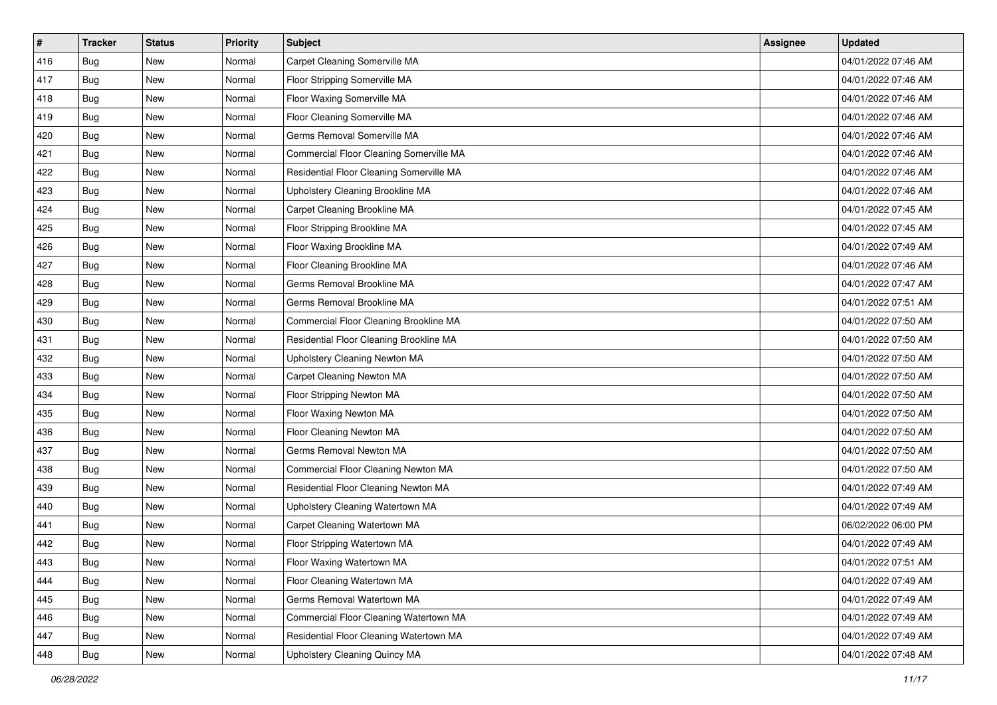| $\pmb{\#}$ | <b>Tracker</b> | <b>Status</b> | <b>Priority</b> | <b>Subject</b>                           | Assignee | <b>Updated</b>      |
|------------|----------------|---------------|-----------------|------------------------------------------|----------|---------------------|
| 416        | <b>Bug</b>     | New           | Normal          | Carpet Cleaning Somerville MA            |          | 04/01/2022 07:46 AM |
| 417        | <b>Bug</b>     | <b>New</b>    | Normal          | Floor Stripping Somerville MA            |          | 04/01/2022 07:46 AM |
| 418        | Bug            | New           | Normal          | Floor Waxing Somerville MA               |          | 04/01/2022 07:46 AM |
| 419        | <b>Bug</b>     | <b>New</b>    | Normal          | Floor Cleaning Somerville MA             |          | 04/01/2022 07:46 AM |
| 420        | Bug            | <b>New</b>    | Normal          | Germs Removal Somerville MA              |          | 04/01/2022 07:46 AM |
| 421        | <b>Bug</b>     | New           | Normal          | Commercial Floor Cleaning Somerville MA  |          | 04/01/2022 07:46 AM |
| 422        | <b>Bug</b>     | New           | Normal          | Residential Floor Cleaning Somerville MA |          | 04/01/2022 07:46 AM |
| 423        | Bug            | New           | Normal          | Upholstery Cleaning Brookline MA         |          | 04/01/2022 07:46 AM |
| 424        | <b>Bug</b>     | <b>New</b>    | Normal          | Carpet Cleaning Brookline MA             |          | 04/01/2022 07:45 AM |
| 425        | <b>Bug</b>     | <b>New</b>    | Normal          | Floor Stripping Brookline MA             |          | 04/01/2022 07:45 AM |
| 426        | <b>Bug</b>     | New           | Normal          | Floor Waxing Brookline MA                |          | 04/01/2022 07:49 AM |
| 427        | <b>Bug</b>     | New           | Normal          | Floor Cleaning Brookline MA              |          | 04/01/2022 07:46 AM |
| 428        | <b>Bug</b>     | <b>New</b>    | Normal          | Germs Removal Brookline MA               |          | 04/01/2022 07:47 AM |
| 429        | <b>Bug</b>     | <b>New</b>    | Normal          | Germs Removal Brookline MA               |          | 04/01/2022 07:51 AM |
| 430        | <b>Bug</b>     | <b>New</b>    | Normal          | Commercial Floor Cleaning Brookline MA   |          | 04/01/2022 07:50 AM |
| 431        | Bug            | New           | Normal          | Residential Floor Cleaning Brookline MA  |          | 04/01/2022 07:50 AM |
| 432        | Bug            | <b>New</b>    | Normal          | Upholstery Cleaning Newton MA            |          | 04/01/2022 07:50 AM |
| 433        | <b>Bug</b>     | <b>New</b>    | Normal          | Carpet Cleaning Newton MA                |          | 04/01/2022 07:50 AM |
| 434        | <b>Bug</b>     | New           | Normal          | Floor Stripping Newton MA                |          | 04/01/2022 07:50 AM |
| 435        | <b>Bug</b>     | <b>New</b>    | Normal          | Floor Waxing Newton MA                   |          | 04/01/2022 07:50 AM |
| 436        | <b>Bug</b>     | New           | Normal          | Floor Cleaning Newton MA                 |          | 04/01/2022 07:50 AM |
| 437        | <b>Bug</b>     | <b>New</b>    | Normal          | Germs Removal Newton MA                  |          | 04/01/2022 07:50 AM |
| 438        | <b>Bug</b>     | <b>New</b>    | Normal          | Commercial Floor Cleaning Newton MA      |          | 04/01/2022 07:50 AM |
| 439        | <b>Bug</b>     | New           | Normal          | Residential Floor Cleaning Newton MA     |          | 04/01/2022 07:49 AM |
| 440        | <b>Bug</b>     | New           | Normal          | Upholstery Cleaning Watertown MA         |          | 04/01/2022 07:49 AM |
| 441        | <b>Bug</b>     | New           | Normal          | Carpet Cleaning Watertown MA             |          | 06/02/2022 06:00 PM |
| 442        | <b>Bug</b>     | New           | Normal          | Floor Stripping Watertown MA             |          | 04/01/2022 07:49 AM |
| 443        | Bug            | New           | Normal          | Floor Waxing Watertown MA                |          | 04/01/2022 07:51 AM |
| 444        | <b>Bug</b>     | New           | Normal          | Floor Cleaning Watertown MA              |          | 04/01/2022 07:49 AM |
| 445        | <b>Bug</b>     | New           | Normal          | Germs Removal Watertown MA               |          | 04/01/2022 07:49 AM |
| 446        | Bug            | New           | Normal          | Commercial Floor Cleaning Watertown MA   |          | 04/01/2022 07:49 AM |
| 447        | <b>Bug</b>     | New           | Normal          | Residential Floor Cleaning Watertown MA  |          | 04/01/2022 07:49 AM |
| 448        | <b>Bug</b>     | New           | Normal          | Upholstery Cleaning Quincy MA            |          | 04/01/2022 07:48 AM |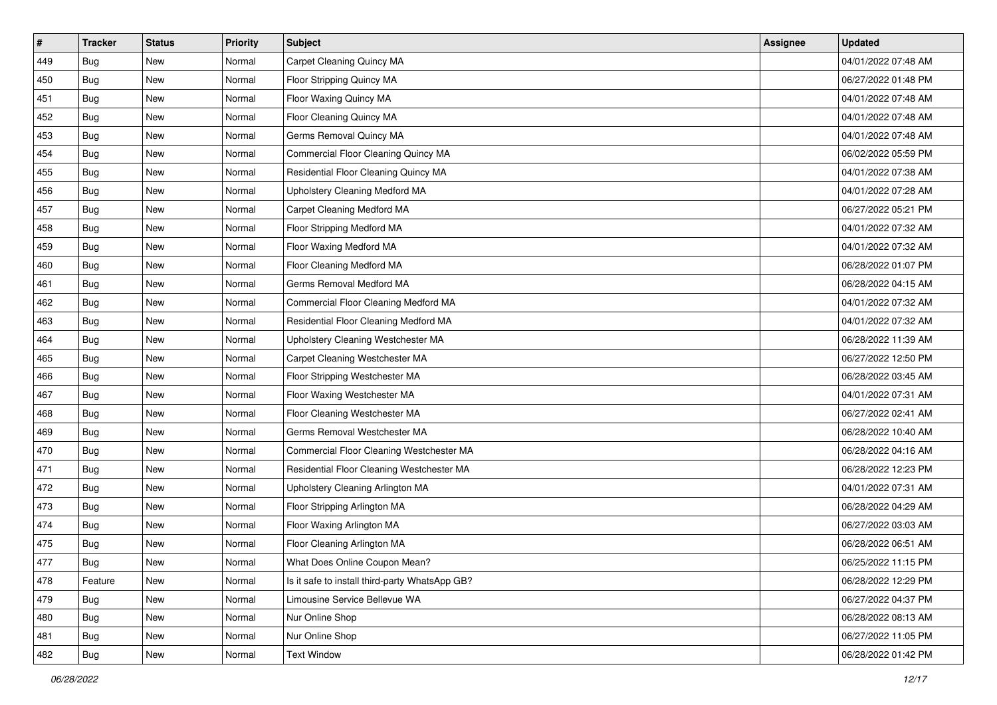| #   | <b>Tracker</b> | <b>Status</b> | <b>Priority</b> | <b>Subject</b>                                 | Assignee | <b>Updated</b>      |
|-----|----------------|---------------|-----------------|------------------------------------------------|----------|---------------------|
| 449 | Bug            | New           | Normal          | Carpet Cleaning Quincy MA                      |          | 04/01/2022 07:48 AM |
| 450 | Bug            | New           | Normal          | Floor Stripping Quincy MA                      |          | 06/27/2022 01:48 PM |
| 451 | <b>Bug</b>     | New           | Normal          | Floor Waxing Quincy MA                         |          | 04/01/2022 07:48 AM |
| 452 | <b>Bug</b>     | <b>New</b>    | Normal          | Floor Cleaning Quincy MA                       |          | 04/01/2022 07:48 AM |
| 453 | <b>Bug</b>     | New           | Normal          | Germs Removal Quincy MA                        |          | 04/01/2022 07:48 AM |
| 454 | Bug            | New           | Normal          | Commercial Floor Cleaning Quincy MA            |          | 06/02/2022 05:59 PM |
| 455 | Bug            | New           | Normal          | Residential Floor Cleaning Quincy MA           |          | 04/01/2022 07:38 AM |
| 456 | Bug            | New           | Normal          | Upholstery Cleaning Medford MA                 |          | 04/01/2022 07:28 AM |
| 457 | Bug            | New           | Normal          | Carpet Cleaning Medford MA                     |          | 06/27/2022 05:21 PM |
| 458 | <b>Bug</b>     | New           | Normal          | Floor Stripping Medford MA                     |          | 04/01/2022 07:32 AM |
| 459 | <b>Bug</b>     | New           | Normal          | Floor Waxing Medford MA                        |          | 04/01/2022 07:32 AM |
| 460 | Bug            | New           | Normal          | Floor Cleaning Medford MA                      |          | 06/28/2022 01:07 PM |
| 461 | <b>Bug</b>     | <b>New</b>    | Normal          | Germs Removal Medford MA                       |          | 06/28/2022 04:15 AM |
| 462 | Bug            | New           | Normal          | Commercial Floor Cleaning Medford MA           |          | 04/01/2022 07:32 AM |
| 463 | Bug            | New           | Normal          | Residential Floor Cleaning Medford MA          |          | 04/01/2022 07:32 AM |
| 464 | <b>Bug</b>     | New           | Normal          | Upholstery Cleaning Westchester MA             |          | 06/28/2022 11:39 AM |
| 465 | Bug            | <b>New</b>    | Normal          | Carpet Cleaning Westchester MA                 |          | 06/27/2022 12:50 PM |
| 466 | <b>Bug</b>     | New           | Normal          | Floor Stripping Westchester MA                 |          | 06/28/2022 03:45 AM |
| 467 | Bug            | New           | Normal          | Floor Waxing Westchester MA                    |          | 04/01/2022 07:31 AM |
| 468 | Bug            | New           | Normal          | Floor Cleaning Westchester MA                  |          | 06/27/2022 02:41 AM |
| 469 | <b>Bug</b>     | New           | Normal          | Germs Removal Westchester MA                   |          | 06/28/2022 10:40 AM |
| 470 | Bug            | New           | Normal          | Commercial Floor Cleaning Westchester MA       |          | 06/28/2022 04:16 AM |
| 471 | <b>Bug</b>     | New           | Normal          | Residential Floor Cleaning Westchester MA      |          | 06/28/2022 12:23 PM |
| 472 | <b>Bug</b>     | New           | Normal          | Upholstery Cleaning Arlington MA               |          | 04/01/2022 07:31 AM |
| 473 | <b>Bug</b>     | New           | Normal          | Floor Stripping Arlington MA                   |          | 06/28/2022 04:29 AM |
| 474 | <b>Bug</b>     | New           | Normal          | Floor Waxing Arlington MA                      |          | 06/27/2022 03:03 AM |
| 475 | <b>Bug</b>     | <b>New</b>    | Normal          | Floor Cleaning Arlington MA                    |          | 06/28/2022 06:51 AM |
| 477 | <b>Bug</b>     | New           | Normal          | What Does Online Coupon Mean?                  |          | 06/25/2022 11:15 PM |
| 478 | Feature        | New           | Normal          | Is it safe to install third-party WhatsApp GB? |          | 06/28/2022 12:29 PM |
| 479 | <b>Bug</b>     | New           | Normal          | Limousine Service Bellevue WA                  |          | 06/27/2022 04:37 PM |
| 480 | <b>Bug</b>     | New           | Normal          | Nur Online Shop                                |          | 06/28/2022 08:13 AM |
| 481 | <b>Bug</b>     | New           | Normal          | Nur Online Shop                                |          | 06/27/2022 11:05 PM |
| 482 | <b>Bug</b>     | New           | Normal          | <b>Text Window</b>                             |          | 06/28/2022 01:42 PM |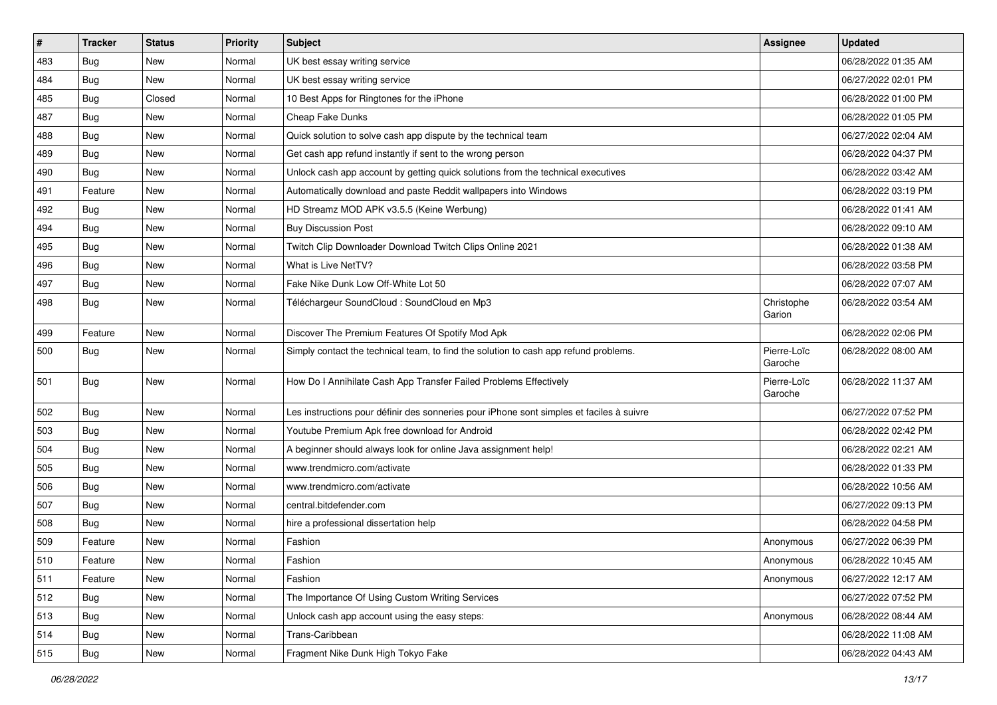| $\#$ | <b>Tracker</b> | <b>Status</b> | <b>Priority</b> | <b>Subject</b>                                                                           | <b>Assignee</b>        | <b>Updated</b>      |
|------|----------------|---------------|-----------------|------------------------------------------------------------------------------------------|------------------------|---------------------|
| 483  | Bug            | <b>New</b>    | Normal          | UK best essay writing service                                                            |                        | 06/28/2022 01:35 AM |
| 484  | <b>Bug</b>     | <b>New</b>    | Normal          | UK best essay writing service                                                            |                        | 06/27/2022 02:01 PM |
| 485  | Bug            | Closed        | Normal          | 10 Best Apps for Ringtones for the iPhone                                                |                        | 06/28/2022 01:00 PM |
| 487  | <b>Bug</b>     | <b>New</b>    | Normal          | Cheap Fake Dunks                                                                         |                        | 06/28/2022 01:05 PM |
| 488  | <b>Bug</b>     | <b>New</b>    | Normal          | Quick solution to solve cash app dispute by the technical team                           |                        | 06/27/2022 02:04 AM |
| 489  | <b>Bug</b>     | <b>New</b>    | Normal          | Get cash app refund instantly if sent to the wrong person                                |                        | 06/28/2022 04:37 PM |
| 490  | <b>Bug</b>     | <b>New</b>    | Normal          | Unlock cash app account by getting quick solutions from the technical executives         |                        | 06/28/2022 03:42 AM |
| 491  | Feature        | <b>New</b>    | Normal          | Automatically download and paste Reddit wallpapers into Windows                          |                        | 06/28/2022 03:19 PM |
| 492  | <b>Bug</b>     | New           | Normal          | HD Streamz MOD APK v3.5.5 (Keine Werbung)                                                |                        | 06/28/2022 01:41 AM |
| 494  | <b>Bug</b>     | <b>New</b>    | Normal          | <b>Buy Discussion Post</b>                                                               |                        | 06/28/2022 09:10 AM |
| 495  | <b>Bug</b>     | New           | Normal          | Twitch Clip Downloader Download Twitch Clips Online 2021                                 |                        | 06/28/2022 01:38 AM |
| 496  | <b>Bug</b>     | New           | Normal          | What is Live NetTV?                                                                      |                        | 06/28/2022 03:58 PM |
| 497  | <b>Bug</b>     | <b>New</b>    | Normal          | Fake Nike Dunk Low Off-White Lot 50                                                      |                        | 06/28/2022 07:07 AM |
| 498  | <b>Bug</b>     | New           | Normal          | Téléchargeur SoundCloud : SoundCloud en Mp3                                              | Christophe<br>Garion   | 06/28/2022 03:54 AM |
| 499  | Feature        | <b>New</b>    | Normal          | Discover The Premium Features Of Spotify Mod Apk                                         |                        | 06/28/2022 02:06 PM |
| 500  | Bug            | New           | Normal          | Simply contact the technical team, to find the solution to cash app refund problems.     | Pierre-Loïc<br>Garoche | 06/28/2022 08:00 AM |
| 501  | <b>Bug</b>     | <b>New</b>    | Normal          | How Do I Annihilate Cash App Transfer Failed Problems Effectively                        | Pierre-Loïc<br>Garoche | 06/28/2022 11:37 AM |
| 502  | <b>Bug</b>     | <b>New</b>    | Normal          | Les instructions pour définir des sonneries pour iPhone sont simples et faciles à suivre |                        | 06/27/2022 07:52 PM |
| 503  | <b>Bug</b>     | <b>New</b>    | Normal          | Youtube Premium Apk free download for Android                                            |                        | 06/28/2022 02:42 PM |
| 504  | <b>Bug</b>     | <b>New</b>    | Normal          | A beginner should always look for online Java assignment help!                           |                        | 06/28/2022 02:21 AM |
| 505  | <b>Bug</b>     | New           | Normal          | www.trendmicro.com/activate                                                              |                        | 06/28/2022 01:33 PM |
| 506  | <b>Bug</b>     | <b>New</b>    | Normal          | www.trendmicro.com/activate                                                              |                        | 06/28/2022 10:56 AM |
| 507  | Bug            | New           | Normal          | central.bitdefender.com                                                                  |                        | 06/27/2022 09:13 PM |
| 508  | <b>Bug</b>     | New           | Normal          | hire a professional dissertation help                                                    |                        | 06/28/2022 04:58 PM |
| 509  | Feature        | New           | Normal          | Fashion                                                                                  | Anonymous              | 06/27/2022 06:39 PM |
| 510  | Feature        | New           | Normal          | Fashion                                                                                  | Anonymous              | 06/28/2022 10:45 AM |
| 511  | Feature        | New           | Normal          | Fashion                                                                                  | Anonymous              | 06/27/2022 12:17 AM |
| 512  | Bug            | New           | Normal          | The Importance Of Using Custom Writing Services                                          |                        | 06/27/2022 07:52 PM |
| 513  | <b>Bug</b>     | New           | Normal          | Unlock cash app account using the easy steps:                                            | Anonymous              | 06/28/2022 08:44 AM |
| 514  | Bug            | New           | Normal          | Trans-Caribbean                                                                          |                        | 06/28/2022 11:08 AM |
| 515  | <b>Bug</b>     | New           | Normal          | Fragment Nike Dunk High Tokyo Fake                                                       |                        | 06/28/2022 04:43 AM |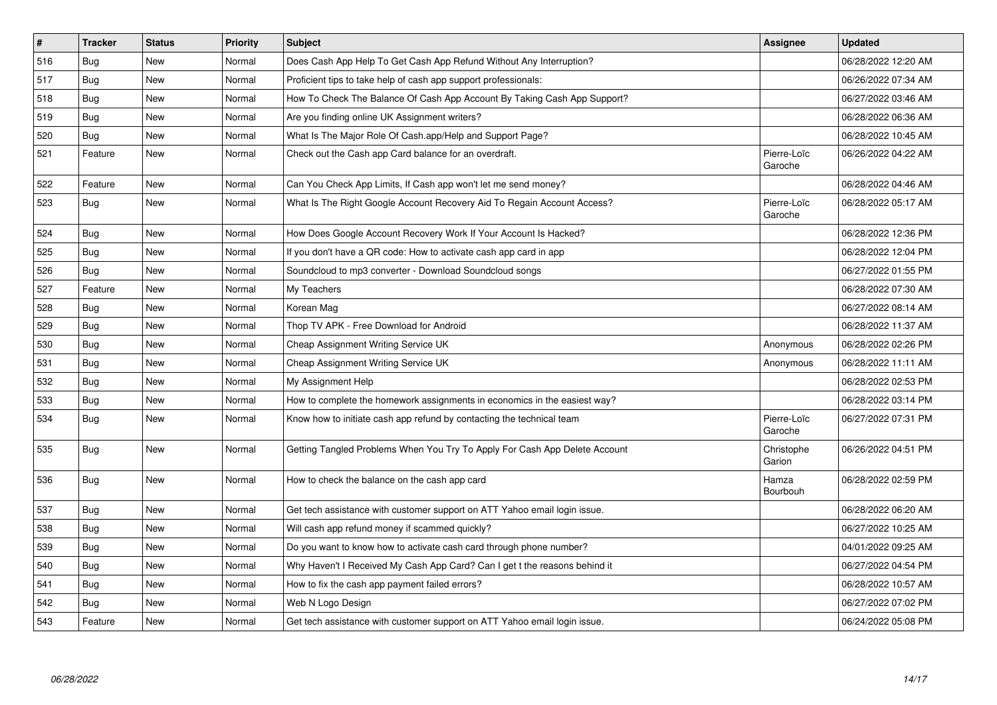| $\vert$ # | <b>Tracker</b> | <b>Status</b> | <b>Priority</b> | <b>Subject</b>                                                             | <b>Assignee</b>        | <b>Updated</b>      |
|-----------|----------------|---------------|-----------------|----------------------------------------------------------------------------|------------------------|---------------------|
| 516       | <b>Bug</b>     | <b>New</b>    | Normal          | Does Cash App Help To Get Cash App Refund Without Any Interruption?        |                        | 06/28/2022 12:20 AM |
| 517       | Bug            | <b>New</b>    | Normal          | Proficient tips to take help of cash app support professionals:            |                        | 06/26/2022 07:34 AM |
| 518       | Bug            | <b>New</b>    | Normal          | How To Check The Balance Of Cash App Account By Taking Cash App Support?   |                        | 06/27/2022 03:46 AM |
| 519       | <b>Bug</b>     | <b>New</b>    | Normal          | Are you finding online UK Assignment writers?                              |                        | 06/28/2022 06:36 AM |
| 520       | <b>Bug</b>     | New           | Normal          | What Is The Major Role Of Cash.app/Help and Support Page?                  |                        | 06/28/2022 10:45 AM |
| 521       | Feature        | <b>New</b>    | Normal          | Check out the Cash app Card balance for an overdraft.                      | Pierre-Loïc<br>Garoche | 06/26/2022 04:22 AM |
| 522       | Feature        | <b>New</b>    | Normal          | Can You Check App Limits, If Cash app won't let me send money?             |                        | 06/28/2022 04:46 AM |
| 523       | <b>Bug</b>     | New           | Normal          | What Is The Right Google Account Recovery Aid To Regain Account Access?    | Pierre-Loïc<br>Garoche | 06/28/2022 05:17 AM |
| 524       | <b>Bug</b>     | <b>New</b>    | Normal          | How Does Google Account Recovery Work If Your Account Is Hacked?           |                        | 06/28/2022 12:36 PM |
| 525       | Bug            | <b>New</b>    | Normal          | If you don't have a QR code: How to activate cash app card in app          |                        | 06/28/2022 12:04 PM |
| 526       | Bug            | <b>New</b>    | Normal          | Soundcloud to mp3 converter - Download Soundcloud songs                    |                        | 06/27/2022 01:55 PM |
| 527       | Feature        | <b>New</b>    | Normal          | My Teachers                                                                |                        | 06/28/2022 07:30 AM |
| 528       | <b>Bug</b>     | <b>New</b>    | Normal          | Korean Mag                                                                 |                        | 06/27/2022 08:14 AM |
| 529       | Bug            | New           | Normal          | Thop TV APK - Free Download for Android                                    |                        | 06/28/2022 11:37 AM |
| 530       | Bug            | <b>New</b>    | Normal          | Cheap Assignment Writing Service UK                                        | Anonymous              | 06/28/2022 02:26 PM |
| 531       | <b>Bug</b>     | <b>New</b>    | Normal          | Cheap Assignment Writing Service UK                                        | Anonymous              | 06/28/2022 11:11 AM |
| 532       | Bug            | <b>New</b>    | Normal          | My Assignment Help                                                         |                        | 06/28/2022 02:53 PM |
| 533       | <b>Bug</b>     | <b>New</b>    | Normal          | How to complete the homework assignments in economics in the easiest way?  |                        | 06/28/2022 03:14 PM |
| 534       | <b>Bug</b>     | <b>New</b>    | Normal          | Know how to initiate cash app refund by contacting the technical team      | Pierre-Loïc<br>Garoche | 06/27/2022 07:31 PM |
| 535       | <b>Bug</b>     | <b>New</b>    | Normal          | Getting Tangled Problems When You Try To Apply For Cash App Delete Account | Christophe<br>Garion   | 06/26/2022 04:51 PM |
| 536       | Bug            | <b>New</b>    | Normal          | How to check the balance on the cash app card                              | Hamza<br>Bourbouh      | 06/28/2022 02:59 PM |
| 537       | Bug            | <b>New</b>    | Normal          | Get tech assistance with customer support on ATT Yahoo email login issue.  |                        | 06/28/2022 06:20 AM |
| 538       | Bug            | <b>New</b>    | Normal          | Will cash app refund money if scammed quickly?                             |                        | 06/27/2022 10:25 AM |
| 539       | <b>Bug</b>     | <b>New</b>    | Normal          | Do you want to know how to activate cash card through phone number?        |                        | 04/01/2022 09:25 AM |
| 540       | <b>Bug</b>     | <b>New</b>    | Normal          | Why Haven't I Received My Cash App Card? Can I get t the reasons behind it |                        | 06/27/2022 04:54 PM |
| 541       | Bug            | <b>New</b>    | Normal          | How to fix the cash app payment failed errors?                             |                        | 06/28/2022 10:57 AM |
| 542       | <b>Bug</b>     | New           | Normal          | Web N Logo Design                                                          |                        | 06/27/2022 07:02 PM |
| 543       | Feature        | <b>New</b>    | Normal          | Get tech assistance with customer support on ATT Yahoo email login issue.  |                        | 06/24/2022 05:08 PM |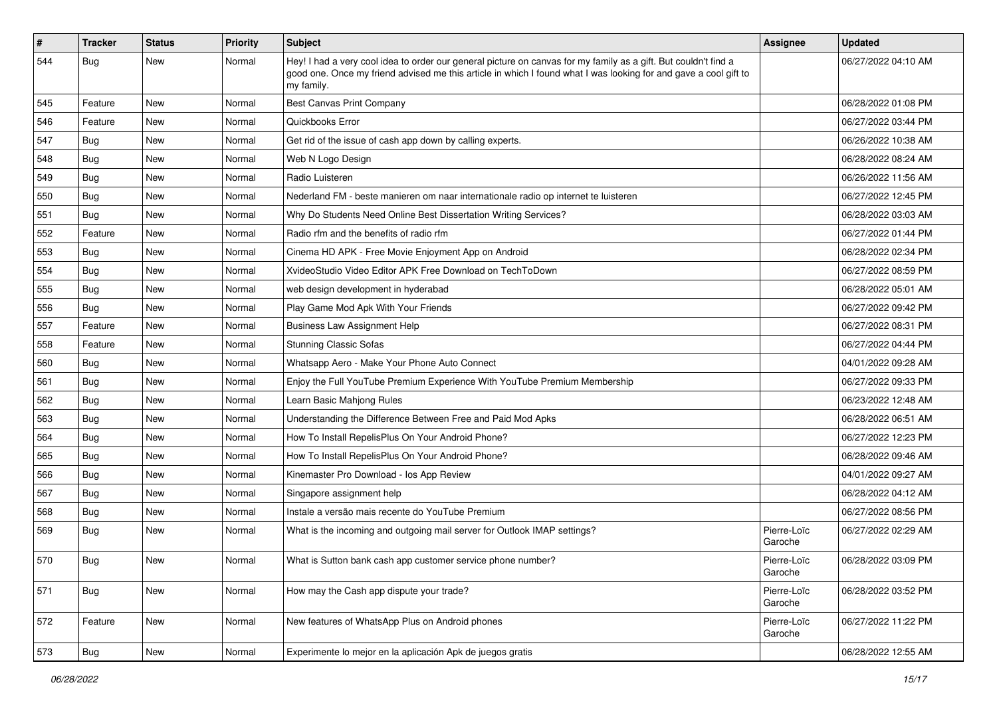| #   | <b>Tracker</b> | <b>Status</b> | <b>Priority</b> | <b>Subject</b>                                                                                                                                                                                                                                    | Assignee               | <b>Updated</b>      |
|-----|----------------|---------------|-----------------|---------------------------------------------------------------------------------------------------------------------------------------------------------------------------------------------------------------------------------------------------|------------------------|---------------------|
| 544 | <b>Bug</b>     | New           | Normal          | Hey! I had a very cool idea to order our general picture on canvas for my family as a gift. But couldn't find a<br>good one. Once my friend advised me this article in which I found what I was looking for and gave a cool gift to<br>my family. |                        | 06/27/2022 04:10 AM |
| 545 | Feature        | <b>New</b>    | Normal          | <b>Best Canvas Print Company</b>                                                                                                                                                                                                                  |                        | 06/28/2022 01:08 PM |
| 546 | Feature        | New           | Normal          | Quickbooks Error                                                                                                                                                                                                                                  |                        | 06/27/2022 03:44 PM |
| 547 | Bug            | <b>New</b>    | Normal          | Get rid of the issue of cash app down by calling experts.                                                                                                                                                                                         |                        | 06/26/2022 10:38 AM |
| 548 | Bug            | <b>New</b>    | Normal          | Web N Logo Design                                                                                                                                                                                                                                 |                        | 06/28/2022 08:24 AM |
| 549 | Bug            | <b>New</b>    | Normal          | Radio Luisteren                                                                                                                                                                                                                                   |                        | 06/26/2022 11:56 AM |
| 550 | Bug            | <b>New</b>    | Normal          | Nederland FM - beste manieren om naar internationale radio op internet te luisteren                                                                                                                                                               |                        | 06/27/2022 12:45 PM |
| 551 | Bug            | <b>New</b>    | Normal          | Why Do Students Need Online Best Dissertation Writing Services?                                                                                                                                                                                   |                        | 06/28/2022 03:03 AM |
| 552 | Feature        | New           | Normal          | Radio rfm and the benefits of radio rfm                                                                                                                                                                                                           |                        | 06/27/2022 01:44 PM |
| 553 | Bug            | <b>New</b>    | Normal          | Cinema HD APK - Free Movie Enjoyment App on Android                                                                                                                                                                                               |                        | 06/28/2022 02:34 PM |
| 554 | Bug            | <b>New</b>    | Normal          | XvideoStudio Video Editor APK Free Download on TechToDown                                                                                                                                                                                         |                        | 06/27/2022 08:59 PM |
| 555 | <b>Bug</b>     | <b>New</b>    | Normal          | web design development in hyderabad                                                                                                                                                                                                               |                        | 06/28/2022 05:01 AM |
| 556 | <b>Bug</b>     | <b>New</b>    | Normal          | Play Game Mod Apk With Your Friends                                                                                                                                                                                                               |                        | 06/27/2022 09:42 PM |
| 557 | Feature        | New           | Normal          | <b>Business Law Assignment Help</b>                                                                                                                                                                                                               |                        | 06/27/2022 08:31 PM |
| 558 | Feature        | New           | Normal          | <b>Stunning Classic Sofas</b>                                                                                                                                                                                                                     |                        | 06/27/2022 04:44 PM |
| 560 | Bug            | <b>New</b>    | Normal          | Whatsapp Aero - Make Your Phone Auto Connect                                                                                                                                                                                                      |                        | 04/01/2022 09:28 AM |
| 561 | <b>Bug</b>     | New           | Normal          | Enjoy the Full YouTube Premium Experience With YouTube Premium Membership                                                                                                                                                                         |                        | 06/27/2022 09:33 PM |
| 562 | <b>Bug</b>     | <b>New</b>    | Normal          | Learn Basic Mahjong Rules                                                                                                                                                                                                                         |                        | 06/23/2022 12:48 AM |
| 563 | Bug            | New           | Normal          | Understanding the Difference Between Free and Paid Mod Apks                                                                                                                                                                                       |                        | 06/28/2022 06:51 AM |
| 564 | Bug            | <b>New</b>    | Normal          | How To Install RepelisPlus On Your Android Phone?                                                                                                                                                                                                 |                        | 06/27/2022 12:23 PM |
| 565 | Bug            | <b>New</b>    | Normal          | How To Install RepelisPlus On Your Android Phone?                                                                                                                                                                                                 |                        | 06/28/2022 09:46 AM |
| 566 | Bug            | <b>New</b>    | Normal          | Kinemaster Pro Download - los App Review                                                                                                                                                                                                          |                        | 04/01/2022 09:27 AM |
| 567 | Bug            | <b>New</b>    | Normal          | Singapore assignment help                                                                                                                                                                                                                         |                        | 06/28/2022 04:12 AM |
| 568 | Bug            | <b>New</b>    | Normal          | Instale a versão mais recente do YouTube Premium                                                                                                                                                                                                  |                        | 06/27/2022 08:56 PM |
| 569 | Bug            | <b>New</b>    | Normal          | What is the incoming and outgoing mail server for Outlook IMAP settings?                                                                                                                                                                          | Pierre-Loïc<br>Garoche | 06/27/2022 02:29 AM |
| 570 | Bug            | New           | Normal          | What is Sutton bank cash app customer service phone number?                                                                                                                                                                                       | Pierre-Loïc<br>Garoche | 06/28/2022 03:09 PM |
| 571 | <b>Bug</b>     | New           | Normal          | How may the Cash app dispute your trade?                                                                                                                                                                                                          | Pierre-Loïc<br>Garoche | 06/28/2022 03:52 PM |
| 572 | Feature        | New           | Normal          | New features of WhatsApp Plus on Android phones                                                                                                                                                                                                   | Pierre-Loïc<br>Garoche | 06/27/2022 11:22 PM |
| 573 | Bug            | New           | Normal          | Experimente lo mejor en la aplicación Apk de juegos gratis                                                                                                                                                                                        |                        | 06/28/2022 12:55 AM |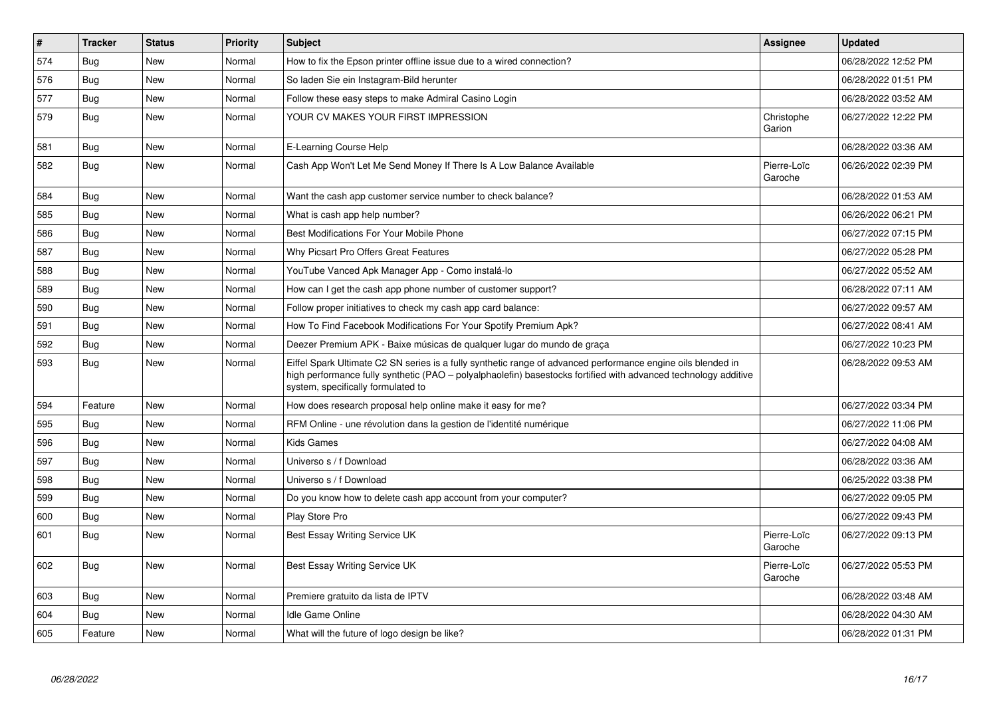| $\vert$ # | <b>Tracker</b> | <b>Status</b> | <b>Priority</b> | <b>Subject</b>                                                                                                                                                                                                                                                        | <b>Assignee</b>        | <b>Updated</b>      |
|-----------|----------------|---------------|-----------------|-----------------------------------------------------------------------------------------------------------------------------------------------------------------------------------------------------------------------------------------------------------------------|------------------------|---------------------|
| 574       | Bug            | <b>New</b>    | Normal          | How to fix the Epson printer offline issue due to a wired connection?                                                                                                                                                                                                 |                        | 06/28/2022 12:52 PM |
| 576       | Bug            | <b>New</b>    | Normal          | So laden Sie ein Instagram-Bild herunter                                                                                                                                                                                                                              |                        | 06/28/2022 01:51 PM |
| 577       | <b>Bug</b>     | <b>New</b>    | Normal          | Follow these easy steps to make Admiral Casino Login                                                                                                                                                                                                                  |                        | 06/28/2022 03:52 AM |
| 579       | <b>Bug</b>     | <b>New</b>    | Normal          | YOUR CV MAKES YOUR FIRST IMPRESSION                                                                                                                                                                                                                                   | Christophe<br>Garion   | 06/27/2022 12:22 PM |
| 581       | Bug            | <b>New</b>    | Normal          | E-Learning Course Help                                                                                                                                                                                                                                                |                        | 06/28/2022 03:36 AM |
| 582       | Bug            | <b>New</b>    | Normal          | Cash App Won't Let Me Send Money If There Is A Low Balance Available                                                                                                                                                                                                  | Pierre-Loïc<br>Garoche | 06/26/2022 02:39 PM |
| 584       | Bug            | <b>New</b>    | Normal          | Want the cash app customer service number to check balance?                                                                                                                                                                                                           |                        | 06/28/2022 01:53 AM |
| 585       | Bug            | <b>New</b>    | Normal          | What is cash app help number?                                                                                                                                                                                                                                         |                        | 06/26/2022 06:21 PM |
| 586       | Bug            | <b>New</b>    | Normal          | Best Modifications For Your Mobile Phone                                                                                                                                                                                                                              |                        | 06/27/2022 07:15 PM |
| 587       | <b>Bug</b>     | <b>New</b>    | Normal          | Why Picsart Pro Offers Great Features                                                                                                                                                                                                                                 |                        | 06/27/2022 05:28 PM |
| 588       | Bug            | New           | Normal          | YouTube Vanced Apk Manager App - Como instalá-lo                                                                                                                                                                                                                      |                        | 06/27/2022 05:52 AM |
| 589       | Bug            | <b>New</b>    | Normal          | How can I get the cash app phone number of customer support?                                                                                                                                                                                                          |                        | 06/28/2022 07:11 AM |
| 590       | Bug            | <b>New</b>    | Normal          | Follow proper initiatives to check my cash app card balance:                                                                                                                                                                                                          |                        | 06/27/2022 09:57 AM |
| 591       | Bug            | <b>New</b>    | Normal          | How To Find Facebook Modifications For Your Spotify Premium Apk?                                                                                                                                                                                                      |                        | 06/27/2022 08:41 AM |
| 592       | Bug            | <b>New</b>    | Normal          | Deezer Premium APK - Baixe músicas de qualquer lugar do mundo de graça                                                                                                                                                                                                |                        | 06/27/2022 10:23 PM |
| 593       | Bug            | <b>New</b>    | Normal          | Eiffel Spark Ultimate C2 SN series is a fully synthetic range of advanced performance engine oils blended in<br>high performance fully synthetic (PAO - polyalphaolefin) basestocks fortified with advanced technology additive<br>system, specifically formulated to |                        | 06/28/2022 09:53 AM |
| 594       | Feature        | <b>New</b>    | Normal          | How does research proposal help online make it easy for me?                                                                                                                                                                                                           |                        | 06/27/2022 03:34 PM |
| 595       | Bug            | <b>New</b>    | Normal          | RFM Online - une révolution dans la gestion de l'identité numérique                                                                                                                                                                                                   |                        | 06/27/2022 11:06 PM |
| 596       | <b>Bug</b>     | <b>New</b>    | Normal          | <b>Kids Games</b>                                                                                                                                                                                                                                                     |                        | 06/27/2022 04:08 AM |
| 597       | Bug            | <b>New</b>    | Normal          | Universo s / f Download                                                                                                                                                                                                                                               |                        | 06/28/2022 03:36 AM |
| 598       | <b>Bug</b>     | <b>New</b>    | Normal          | Universo s / f Download                                                                                                                                                                                                                                               |                        | 06/25/2022 03:38 PM |
| 599       | <b>Bug</b>     | <b>New</b>    | Normal          | Do you know how to delete cash app account from your computer?                                                                                                                                                                                                        |                        | 06/27/2022 09:05 PM |
| 600       | <b>Bug</b>     | <b>New</b>    | Normal          | Play Store Pro                                                                                                                                                                                                                                                        |                        | 06/27/2022 09:43 PM |
| 601       | Bug            | New           | Normal          | Best Essay Writing Service UK                                                                                                                                                                                                                                         | Pierre-Loïc<br>Garoche | 06/27/2022 09:13 PM |
| 602       | Bug            | <b>New</b>    | Normal          | Best Essay Writing Service UK                                                                                                                                                                                                                                         | Pierre-Loïc<br>Garoche | 06/27/2022 05:53 PM |
| 603       | <b>Bug</b>     | <b>New</b>    | Normal          | Premiere gratuito da lista de IPTV                                                                                                                                                                                                                                    |                        | 06/28/2022 03:48 AM |
| 604       | Bug            | <b>New</b>    | Normal          | <b>Idle Game Online</b>                                                                                                                                                                                                                                               |                        | 06/28/2022 04:30 AM |
| 605       | Feature        | <b>New</b>    | Normal          | What will the future of logo design be like?                                                                                                                                                                                                                          |                        | 06/28/2022 01:31 PM |